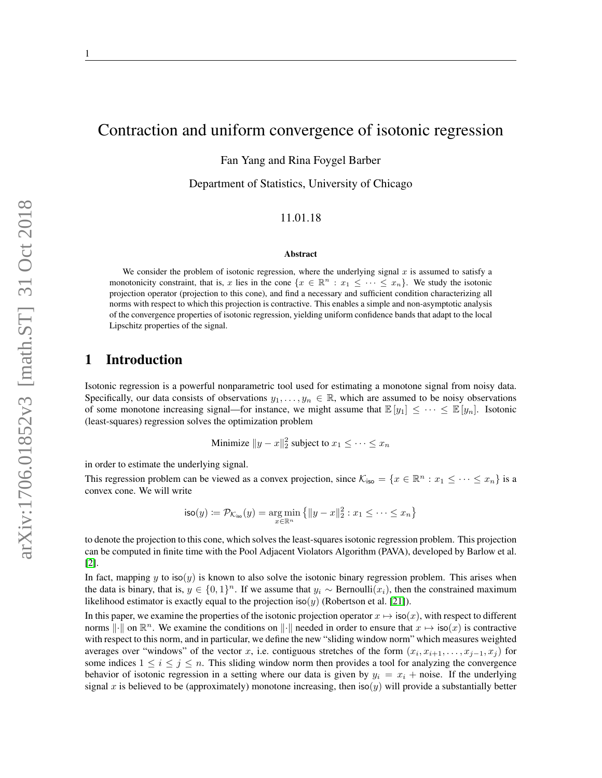# Contraction and uniform convergence of isotonic regression

Fan Yang and Rina Foygel Barber

Department of Statistics, University of Chicago

#### 11.01.18

#### Abstract

We consider the problem of isotonic regression, where the underlying signal  $x$  is assumed to satisfy a monotonicity constraint, that is, x lies in the cone  $\{x \in \mathbb{R}^n : x_1 \leq \cdots \leq x_n\}$ . We study the isotonic projection operator (projection to this cone), and find a necessary and sufficient condition characterizing all norms with respect to which this projection is contractive. This enables a simple and non-asymptotic analysis of the convergence properties of isotonic regression, yielding uniform confidence bands that adapt to the local Lipschitz properties of the signal.

## 1 Introduction

Isotonic regression is a powerful nonparametric tool used for estimating a monotone signal from noisy data. Specifically, our data consists of observations  $y_1, \ldots, y_n \in \mathbb{R}$ , which are assumed to be noisy observations of some monotone increasing signal—for instance, we might assume that  $\mathbb{E}[y_1] \leq \cdots \leq \mathbb{E}[y_n]$ . Isotonic (least-squares) regression solves the optimization problem

Minimize 
$$
||y - x||_2^2
$$
 subject to  $x_1 \leq \cdots \leq x_n$ 

in order to estimate the underlying signal.

This regression problem can be viewed as a convex projection, since  $\mathcal{K}_{\text{iso}} = \{x \in \mathbb{R}^n : x_1 \leq \cdots \leq x_n\}$  is a convex cone. We will write

$$
\mathsf{iso}(y) := \mathcal{P}_{\mathcal{K}_{\mathsf{iso}}}(y) = \underset{x \in \mathbb{R}^n}{\arg\min} \left\{ \|y - x\|_2^2 : x_1 \leq \cdots \leq x_n \right\}
$$

to denote the projection to this cone, which solves the least-squares isotonic regression problem. This projection can be computed in finite time with the Pool Adjacent Violators Algorithm (PAVA), developed by Barlow et al. [\[2\]](#page-14-0).

In fact, mapping y to iso(y) is known to also solve the isotonic binary regression problem. This arises when the data is binary, that is,  $y \in \{0,1\}^n$ . If we assume that  $y_i \sim \text{Bernoulli}(x_i)$ , then the constrained maximum likelihood estimator is exactly equal to the projection iso(y) (Robertson et al. [\[21\]](#page-15-0)).

In this paper, we examine the properties of the isotonic projection operator  $x \mapsto \text{iso}(x)$ , with respect to different norms  $\|\cdot\|$  on  $\mathbb{R}^n$ . We examine the conditions on  $\|\cdot\|$  needed in order to ensure that  $x \mapsto \text{iso}(x)$  is contractive with respect to this norm, and in particular, we define the new "sliding window norm" which measures weighted averages over "windows" of the vector x, i.e. contiguous stretches of the form  $(x_i, x_{i+1}, \ldots, x_{j-1}, x_j)$  for some indices  $1 \le i \le j \le n$ . This sliding window norm then provides a tool for analyzing the convergence behavior of isotonic regression in a setting where our data is given by  $y_i = x_i + \text{noise}$ . If the underlying signal x is believed to be (approximately) monotone increasing, then  $iso(y)$  will provide a substantially better

1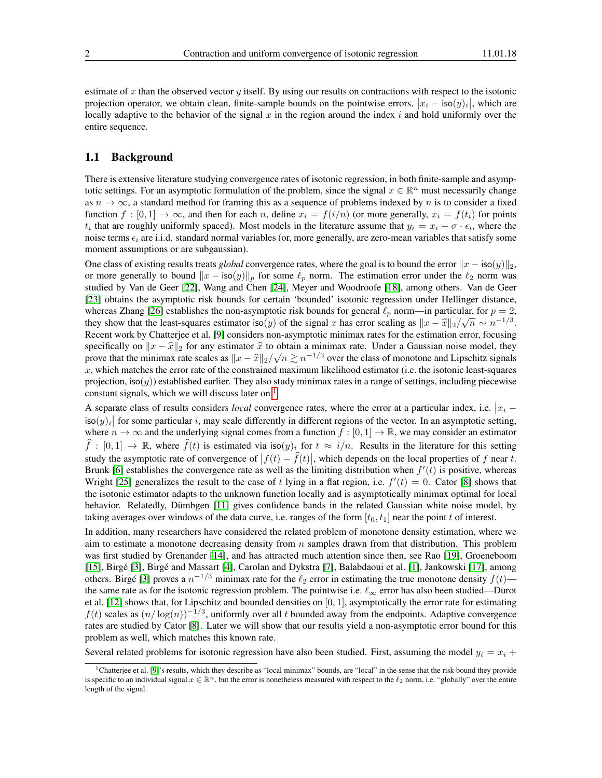estimate of x than the observed vector y itself. By using our results on contractions with respect to the isotonic projection operator, we obtain clean, finite-sample bounds on the pointwise errors,  $|x_i - \text{iso}(y)_i|$ , which are locally adaptive to the behavior of the signal  $x$  in the region around the index  $i$  and hold uniformly over the entire sequence.

### <span id="page-1-1"></span>1.1 Background

There is extensive literature studying convergence rates of isotonic regression, in both finite-sample and asymptotic settings. For an asymptotic formulation of the problem, since the signal  $x \in \mathbb{R}^n$  must necessarily change as  $n \to \infty$ , a standard method for framing this as a sequence of problems indexed by n is to consider a fixed function  $f : [0,1] \to \infty$ , and then for each n, define  $x_i = f(i/n)$  (or more generally,  $x_i = f(t_i)$  for points  $t_i$  that are roughly uniformly spaced). Most models in the literature assume that  $y_i = x_i + \sigma \cdot \epsilon_i$ , where the noise terms  $\epsilon_i$  are i.i.d. standard normal variables (or, more generally, are zero-mean variables that satisfy some moment assumptions or are subgaussian).

One class of existing results treats *global* convergence rates, where the goal is to bound the error  $\|x - \text{iso}(y)\|_2$ , or more generally to bound  $||x - \text{iso}(y)||_p$  for some  $\ell_p$  norm. The estimation error under the  $\ell_2$  norm was studied by Van de Geer [\[22\]](#page-15-1), Wang and Chen [\[24\]](#page-15-2), Meyer and Woodroofe [\[18\]](#page-15-3), among others. Van de Geer [\[23\]](#page-15-4) obtains the asymptotic risk bounds for certain 'bounded' isotonic regression under Hellinger distance, whereas Zhang [\[26\]](#page-15-5) establishes the non-asymptotic risk bounds for general  $\ell_p$  norm—in particular, for  $p = 2$ , they show that the least-squares estimator iso(y) of the signal x has error scaling as  $||x - \hat{x}||_2/\sqrt{n} \sim n^{-1/3}$ .<br>Pecent work by Chatteriae at al. [0] considers non-symmetric minimax rates for the estimation error focusing Recent work by Chatterjee et al. [\[9\]](#page-15-6) considers non-asymptotic minimax rates for the estimation error, focusing specifically on  $\|x - \hat{x}\|_2$  for any estimator  $\hat{x}$  to obtain a minimax rate. Under a Gaussian noise model, they now that the minimax rate scales as  $\|x - \hat{x}\|_2 / (\sqrt{n} \ge n^{-1/3})$  over the class of monotone and Linschitz s spectricarly on  $||x - x||_2$  for any estimator x to obtain a minimax rate. Onder a Gaussian holse model, they<br>prove that the minimax rate scales as  $||x - \hat{x}||_2/\sqrt{n} \ge n^{-1/3}$  over the class of monotone and Lipschitz signals<br>x,  $x$ , which matches the error rate of the constrained maximum likelihood estimator (i.e. the isotonic least-squares projection,  $iso(y)$ ) established earlier. They also study minimax rates in a range of settings, including piecewise constant signals, which we will discuss later on.<sup>[1](#page-1-0)</sup>

A separate class of results considers *local* convergence rates, where the error at a particular index, i.e.  $|x_i |\cos(y)|$  for some particular i, may scale differently in different regions of the vector. In an asymptotic setting, where  $n \to \infty$  and the underlying signal comes from a function  $f : [0, 1] \to \mathbb{R}$ , we may consider an estimator  $\widehat{f} : [0, 1] \to \mathbb{R}$ , where  $\widehat{f}(t)$  is estimated via iso $(y)_i$  for  $t \approx i/n$ . Results in the literature for this setting study the asymptotic rate of convergence of  $|f(t) - \hat{f}(t)|$ , which depends on the local properties of f near t. Brunk [\[6\]](#page-15-7) establishes the convergence rate as well as the limiting distribution when  $f'(t)$  is positive, whereas Wright [\[25\]](#page-15-8) generalizes the result to the case of t lying in a flat region, i.e.  $f'(t) = 0$ . Cator [\[8\]](#page-15-9) shows that the isotonic estimator adapts to the unknown function locally and is asymptotically minimax optimal for local behavior. Relatedly, Dümbgen [\[11\]](#page-15-10) gives confidence bands in the related Gaussian white noise model, by taking averages over windows of the data curve, i.e. ranges of the form  $[t_0, t_1]$  near the point t of interest.

In addition, many researchers have considered the related problem of monotone density estimation, where we aim to estimate a monotone decreasing density from  $n$  samples drawn from that distribution. This problem was first studied by Grenander [\[14\]](#page-15-11), and has attracted much attention since then, see Rao [\[19\]](#page-15-12), Groeneboom [\[15\]](#page-15-13), Birgé [\[3\]](#page-14-1), Birgé and Massart [\[4\]](#page-14-2), Carolan and Dykstra [\[7\]](#page-15-14), Balabdaoui et al. [\[1\]](#page-14-3), Jankowski [\[17\]](#page-15-15), among others. Birgé [\[3\]](#page-14-1) proves a  $n^{-1/3}$  minimax rate for the  $\ell_2$  error in estimating the true monotone density  $f(t)$  the same rate as for the isotonic regression problem. The pointwise i.e.  $\ell_{\infty}$  error has also been studied—Durot et al. [\[12\]](#page-15-16) shows that, for Lipschitz and bounded densities on [0, 1], asymptotically the error rate for estimating  $f(t)$  scales as  $(n/\log(n))^{-1/3}$ , uniformly over all t bounded away from the endpoints. Adaptive convergence rates are studied by Cator [\[8\]](#page-15-9). Later we will show that our results yield a non-asymptotic error bound for this problem as well, which matches this known rate.

Several related problems for isotonic regression have also been studied. First, assuming the model  $y_i = x_i +$ 

<span id="page-1-0"></span><sup>&</sup>lt;sup>1</sup>Chatterjee et al. [\[9\]](#page-15-6)'s results, which they describe as "local minimax" bounds, are "local" in the sense that the risk bound they provide is specific to an individual signal  $x \in \mathbb{R}^n$ , but the error is nonetheless measured with respect to the  $\ell_2$  norm, i.e. "globally" over the entire length of the signal.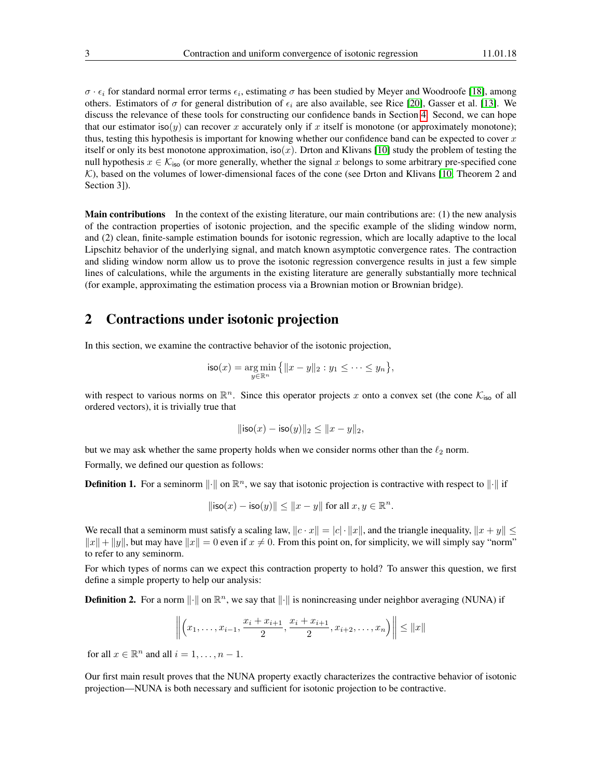$\sigma \cdot \epsilon_i$  for standard normal error terms  $\epsilon_i$ , estimating  $\sigma$  has been studied by Meyer and Woodroofe [\[18\]](#page-15-3), among others. Estimators of  $\sigma$  for general distribution of  $\epsilon_i$  are also available, see Rice [\[20\]](#page-15-17), Gasser et al. [\[13\]](#page-15-18). We discuss the relevance of these tools for constructing our confidence bands in Section [4.](#page-4-0) Second, we can hope that our estimator iso(y) can recover x accurately only if x itself is monotone (or approximately monotone); thus, testing this hypothesis is important for knowing whether our confidence band can be expected to cover  $x$ itself or only its best monotone approximation, iso(x). Drton and Klivans [\[10\]](#page-15-19) study the problem of testing the null hypothesis  $x \in \mathcal{K}_{\text{iso}}$  (or more generally, whether the signal x belongs to some arbitrary pre-specified cone  $K$ ), based on the volumes of lower-dimensional faces of the cone (see Drton and Klivans [\[10,](#page-15-19) Theorem 2 and Section 3]).

Main contributions In the context of the existing literature, our main contributions are: (1) the new analysis of the contraction properties of isotonic projection, and the specific example of the sliding window norm, and (2) clean, finite-sample estimation bounds for isotonic regression, which are locally adaptive to the local Lipschitz behavior of the underlying signal, and match known asymptotic convergence rates. The contraction and sliding window norm allow us to prove the isotonic regression convergence results in just a few simple lines of calculations, while the arguments in the existing literature are generally substantially more technical (for example, approximating the estimation process via a Brownian motion or Brownian bridge).

## 2 Contractions under isotonic projection

In this section, we examine the contractive behavior of the isotonic projection,

$$
\mathsf{iso}(x) = \underset{y \in \mathbb{R}^n}{\arg \min} \left\{ \|x - y\|_2 : y_1 \leq \cdots \leq y_n \right\},\
$$

with respect to various norms on  $\mathbb{R}^n$ . Since this operator projects x onto a convex set (the cone  $\mathcal{K}_{\text{iso}}$  of all ordered vectors), it is trivially true that

$$
\|\mathsf{iso}(x) - \mathsf{iso}(y)\|_2 \le \|x - y\|_2,
$$

but we may ask whether the same property holds when we consider norms other than the  $\ell_2$  norm. Formally, we defined our question as follows:

**Definition 1.** For a seminorm  $\|\cdot\|$  on  $\mathbb{R}^n$ , we say that isotonic projection is contractive with respect to  $\|\cdot\|$  if

$$
\|\mathsf{iso}(x) - \mathsf{iso}(y)\| \le \|x - y\| \text{ for all } x, y \in \mathbb{R}^n.
$$

We recall that a seminorm must satisfy a scaling law,  $\|c \cdot x\| = |c| \cdot \|x\|$ , and the triangle inequality,  $\|x + y\| \le$  $||x|| + ||y||$ , but may have  $||x|| = 0$  even if  $x \neq 0$ . From this point on, for simplicity, we will simply say "norm" to refer to any seminorm.

For which types of norms can we expect this contraction property to hold? To answer this question, we first define a simple property to help our analysis:

**Definition 2.** For a norm  $\|\cdot\|$  on  $\mathbb{R}^n$ , we say that  $\|\cdot\|$  is nonincreasing under neighbor averaging (NUNA) if

$$
\left\| \left(x_1, \ldots, x_{i-1}, \frac{x_i + x_{i+1}}{2}, \frac{x_i + x_{i+1}}{2}, x_{i+2}, \ldots, x_n \right) \right\| \leq \|x\|
$$

for all  $x \in \mathbb{R}^n$  and all  $i = 1, \ldots, n - 1$ .

Our first main result proves that the NUNA property exactly characterizes the contractive behavior of isotonic projection—NUNA is both necessary and sufficient for isotonic projection to be contractive.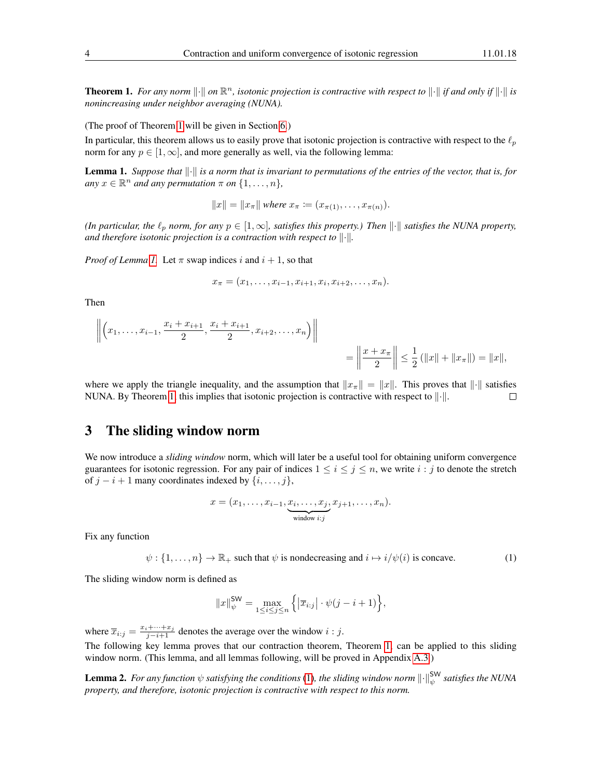<span id="page-3-0"></span>**Theorem 1.** For any norm  $\|\cdot\|$  on  $\mathbb{R}^n$ , isotonic projection is contractive with respect to  $\|\cdot\|$  if and only if  $\|\cdot\|$  is *nonincreasing under neighbor averaging (NUNA).*

(The proof of Theorem [1](#page-3-0) will be given in Section [6.](#page-12-0))

In particular, this theorem allows us to easily prove that isotonic projection is contractive with respect to the  $\ell_p$ norm for any  $p \in [1, \infty]$ , and more generally as well, via the following lemma:

<span id="page-3-1"></span>**Lemma 1.** Suppose that  $\|\cdot\|$  is a norm that is invariant to permutations of the entries of the vector, that is, for  $any \ x \in \mathbb{R}^n$  *and any permutation*  $\pi$  *on*  $\{1, \dots, n\}$ *,* 

 $||x|| = ||x_\pi||$  where  $x_\pi := (x_{\pi(1)}, \ldots, x_{\pi(n)})$ .

*(In particular, the*  $\ell_p$  *norm, for any*  $p \in [1,\infty]$ *, satisfies this property.) Then*  $\|\cdot\|$  *satisfies the NUNA property, and therefore isotonic projection is a contraction with respect to*  $\|\cdot\|$ .

*Proof of Lemma [1.](#page-3-1)* Let  $\pi$  swap indices i and  $i + 1$ , so that

$$
x_{\pi} = (x_1, \ldots, x_{i-1}, x_{i+1}, x_i, x_{i+2}, \ldots, x_n).
$$

Then

$$
\left\| \left( x_1, \ldots, x_{i-1}, \frac{x_i + x_{i+1}}{2}, \frac{x_i + x_{i+1}}{2}, x_{i+2}, \ldots, x_n \right) \right\|
$$
  
=  $\left\| \frac{x + x_{\pi}}{2} \right\| \le \frac{1}{2} (\|x\| + \|x_{\pi}\|) = \|x\|,$ 

where we apply the triangle inequality, and the assumption that  $||x_\pi|| = ||x||$ . This proves that  $||\cdot||$  satisfies NUNA. By Theorem [1,](#page-3-0) this implies that isotonic projection is contractive with respect to  $\|\cdot\|$ .  $\Box$ 

## 3 The sliding window norm

We now introduce a *sliding window* norm, which will later be a useful tool for obtaining uniform convergence guarantees for isotonic regression. For any pair of indices  $1 \le i \le j \le n$ , we write  $i : j$  to denote the stretch of  $j - i + 1$  many coordinates indexed by  $\{i, \ldots, j\}$ ,

$$
x = (x_1, \ldots, x_{i-1}, \underbrace{x_i, \ldots, x_j}_{\text{window } i:j}, x_{j+1}, \ldots, x_n).
$$

Fix any function

<span id="page-3-2"></span> $\psi$ : {1, ...,  $n$ }  $\rightarrow \mathbb{R}_+$  such that  $\psi$  is nondecreasing and  $i \mapsto i/\psi(i)$  is concave. (1)

The sliding window norm is defined as

$$
||x||_{\psi}^{\text{SW}} = \max_{1 \le i \le j \le n} \left\{ |\overline{x}_{i:j}| \cdot \psi(j - i + 1) \right\},\
$$

where  $\overline{x}_{i:j} = \frac{x_i + \dots + x_j}{j - i + 1}$  denotes the average over the window  $i : j$ .

The following key lemma proves that our contraction theorem, Theorem [1,](#page-3-0) can be applied to this sliding window norm. (This lemma, and all lemmas following, will be proved in Appendix [A.3.](#page-21-0))

<span id="page-3-3"></span>**Lemma 2.** For any function  $\psi$  satisfying the conditions [\(1\)](#page-3-2), the sliding window norm  $\|\cdot\|_{\psi}^{\text{SW}}$  satisfies the NUNA *property, and therefore, isotonic projection is contractive with respect to this norm.*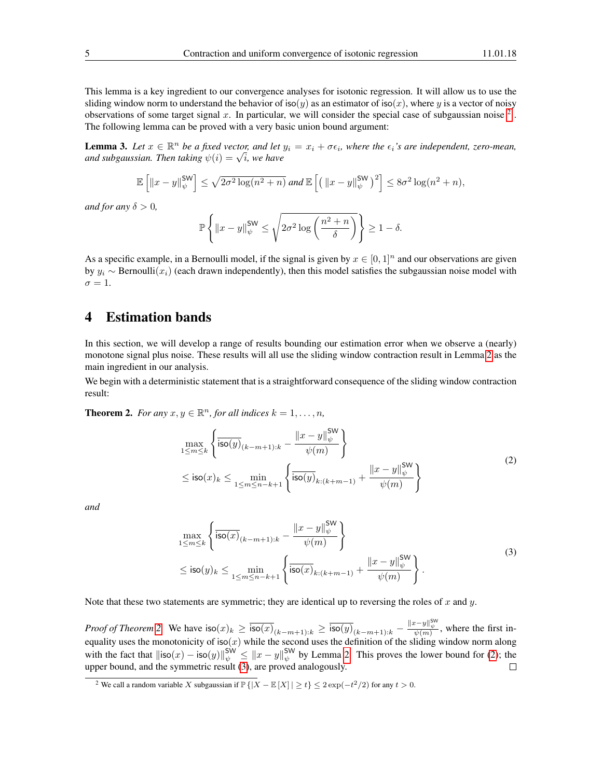This lemma is a key ingredient to our convergence analyses for isotonic regression. It will allow us to use the sliding window norm to understand the behavior of iso(y) as an estimator of iso(x), where y is a vector of noisy observations of some target signal x. In particular, we will consider the special case of subgaussian noise  $<sup>2</sup>$  $<sup>2</sup>$  $<sup>2</sup>$ .</sup> The following lemma can be proved with a very basic union bound argument:

<span id="page-4-5"></span>**Lemma 3.** Let  $x \in \mathbb{R}^n$  be a fixed vector, and let  $y_i = x_i + \sigma \epsilon_i$ , where the  $\epsilon_i$ 's are independent, zero-mean, **Lemma 5.** Let  $x \in \mathbb{R}^n$  be a fixed vector, and let and subgaussian. Then taking  $\psi(i) = \sqrt{i}$ , we have

$$
\mathbb{E}\left[\left\|x-y\right\|_{\psi}^{\mathrm{SW}}\right] \leq \sqrt{2\sigma^2\log(n^2+n)} \text{ and } \mathbb{E}\left[\left(\left\|x-y\right\|_{\psi}^{\mathrm{SW}}\right)^2\right] \leq 8\sigma^2\log(n^2+n),
$$

*and for any*  $\delta > 0$ *,* 

$$
\mathbb{P}\left\{\left\|x-y\right\|_{\psi}^{\mathsf{SW}}\leq\sqrt{2\sigma^{2}\log\left(\frac{n^{2}+n}{\delta}\right)}\right\}\geq1-\delta.
$$

As a specific example, in a Bernoulli model, if the signal is given by  $x \in [0, 1]^n$  and our observations are given by  $y_i$  ∼ Bernoulli( $x_i$ ) (each drawn independently), then this model satisfies the subgaussian noise model with  $\sigma = 1$ .

## <span id="page-4-0"></span>4 Estimation bands

In this section, we will develop a range of results bounding our estimation error when we observe a (nearly) monotone signal plus noise. These results will all use the sliding window contraction result in Lemma [2](#page-3-3) as the main ingredient in our analysis.

We begin with a deterministic statement that is a straightforward consequence of the sliding window contraction result:

<span id="page-4-3"></span><span id="page-4-2"></span>**Theorem 2.** For any  $x, y \in \mathbb{R}^n$ , for all indices  $k = 1, \ldots, n$ ,

$$
\max_{1 \le m \le k} \left\{ \frac{\overline{\mathsf{iso}(y)}_{(k-m+1):k} - \frac{\|x - y\|_{\psi}^{\mathsf{SW}}}{\psi(m)} \right\} \n\le \mathsf{iso}(x)_k \le \min_{1 \le m \le n-k+1} \left\{ \frac{\overline{\mathsf{iso}(y)}_{k:(k+m-1)} + \frac{\|x - y\|_{\psi}^{\mathsf{SW}}}{\psi(m)} \right\}
$$
\n(2)

<span id="page-4-4"></span>*and*

$$
\max_{1 \le m \le k} \left\{ \frac{\left| \bar{s} \sigma(x)_{(k-m+1):k} - \frac{\|x - y\|_{\psi}^{\text{SW}}}{\psi(m)} \right\}}{\frac{\psi(m)}{\sin(km)}} \right\} \n\le \text{iso}(y)_k \le \min_{1 \le m \le n-k+1} \left\{ \frac{\left| \bar{s} \sigma(x)_{k:(k+m-1)} + \frac{\|x - y\|_{\psi}^{\text{SW}}}{\psi(m)} \right\}}{\psi(m)} \right\}.
$$
\n(3)

Note that these two statements are symmetric; they are identical up to reversing the roles of  $x$  and  $y$ .

*Proof of Theorem [2.](#page-4-2)* We have  $\sec(x)_k \ge \frac{\csc(x)}{\sec(x)_{(k-m+1):k}} \ge \frac{\csc(y)}{\sec(y)_{(k-m+1):k}} - \frac{\csc(y)}{\csc(y)}$ , where the first inequality uses the monotonicity of iso(x) while the second uses the definition of the sliding window norm along with the fact that  $\|\text{iso}(x) - \text{iso}(y)\|_{\psi}^{\text{SW}} \leq \|x - y\|_{\psi}^{\text{SW}}$  by Lemma [2.](#page-3-3) This proves the lower bound for [\(2\)](#page-4-3); the upper bound, and the symmetric result [\(3\)](#page-4-4), are proved analogously.  $\Box$ 

<span id="page-4-1"></span><sup>&</sup>lt;sup>2</sup> We call a random variable X subgaussian if  $\mathbb{P}\{|X - \mathbb{E}[X]| \ge t\} \le 2\exp(-t^2/2)$  for any  $t > 0$ .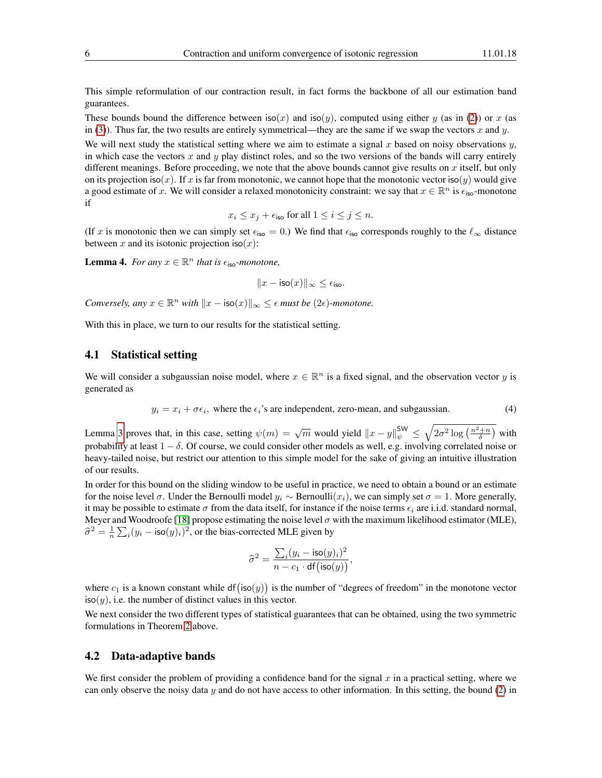This simple reformulation of our contraction result, in fact forms the backbone of all our estimation band guarantees.

These bounds bound the difference between iso(x) and iso(y), computed using either y (as in [\(2\)](#page-4-3)) or x (as in [\(3\)](#page-4-4)). Thus far, the two results are entirely symmetrical—they are the same if we swap the vectors x and y.

We will next study the statistical setting where we aim to estimate a signal  $x$  based on noisy observations  $y$ , in which case the vectors  $x$  and  $y$  play distinct roles, and so the two versions of the bands will carry entirely different meanings. Before proceeding, we note that the above bounds cannot give results on x itself, but only on its projection iso(x). If x is far from monotonic, we cannot hope that the monotonic vector iso(y) would give a good estimate of x. We will consider a relaxed monotonicity constraint: we say that  $x \in \mathbb{R}^n$  is  $\epsilon_{\text{iso}}$ -monotone if

$$
x_i \leq x_j + \epsilon_{\text{iso}}
$$
 for all  $1 \leq i \leq j \leq n$ .

(If x is monotonic then we can simply set  $\epsilon_{\text{iso}} = 0$ .) We find that  $\epsilon_{\text{iso}}$  corresponds roughly to the  $\ell_{\infty}$  distance between x and its isotonic projection iso $(x)$ :

<span id="page-5-2"></span>**Lemma 4.** For any  $x \in \mathbb{R}^n$  that is  $\epsilon_{\text{iso}}$ -monotone,

$$
||x - \text{iso}(x)||_{\infty} \le \epsilon_{\text{iso}}.
$$

*Conversely, any*  $x \in \mathbb{R}^n$  *with*  $||x - \text{iso}(x)||_{\infty} \leq \epsilon$  *must be* (2 $\epsilon$ *)-monotone.* 

With this in place, we turn to our results for the statistical setting.

#### <span id="page-5-1"></span>4.1 Statistical setting

We will consider a subgaussian noise model, where  $x \in \mathbb{R}^n$  is a fixed signal, and the observation vector y is generated as

<span id="page-5-0"></span>
$$
y_i = x_i + \sigma \epsilon_i
$$
, where the  $\epsilon_i$ 's are independent, zero-mean, and subgaussian. (4)

Lemma [3](#page-4-5) proves that, in this case, setting  $\psi(m) = \sqrt{m}$  would yield  $\|x - y\|_{\psi}^{\text{SW}} \le \sqrt{2\sigma^2 \log\left(\frac{n^2 + n}{\delta}\right)}$  with probability at least  $1 - \delta$ . Of course, we could consider other models as well, e.g. involving correlated noise or heavy-tailed noise, but restrict our attention to this simple model for the sake of giving an intuitive illustration of our results.

In order for this bound on the sliding window to be useful in practice, we need to obtain a bound or an estimate for the noise level  $\sigma$ . Under the Bernoulli model  $y_i \sim \text{Bernoulli}(x_i)$ , we can simply set  $\sigma = 1$ . More generally, it may be possible to estimate  $\sigma$  from the data itself, for instance if the noise terms  $\epsilon_i$  are i.i.d. standard normal, Meyer and Woodroofe [\[18\]](#page-15-3) propose estimating the noise level  $\sigma$  with the maximum likelihood estimator (MLE),  $\hat{\sigma}^2 = \frac{1}{n} \sum_i (y_i - \text{iso}(y)_i)^2$ , or the bias-corrected MLE given by

$$
\widehat{\sigma}^2 = \frac{\sum_i (y_i - \mathsf{iso}(y)_i)^2}{n - c_1 \cdot \mathsf{df}(\mathsf{iso}(y))},
$$

where  $c_1$  is a known constant while df(iso(y)) is the number of "degrees of freedom" in the monotone vector  $iso(y)$ , i.e. the number of distinct values in this vector.

We next consider the two different types of statistical guarantees that can be obtained, using the two symmetric formulations in Theorem [2](#page-4-2) above.

#### 4.2 Data-adaptive bands

We first consider the problem of providing a confidence band for the signal  $x$  in a practical setting, where we can only observe the noisy data y and do not have access to other information. In this setting, the bound [\(2\)](#page-4-3) in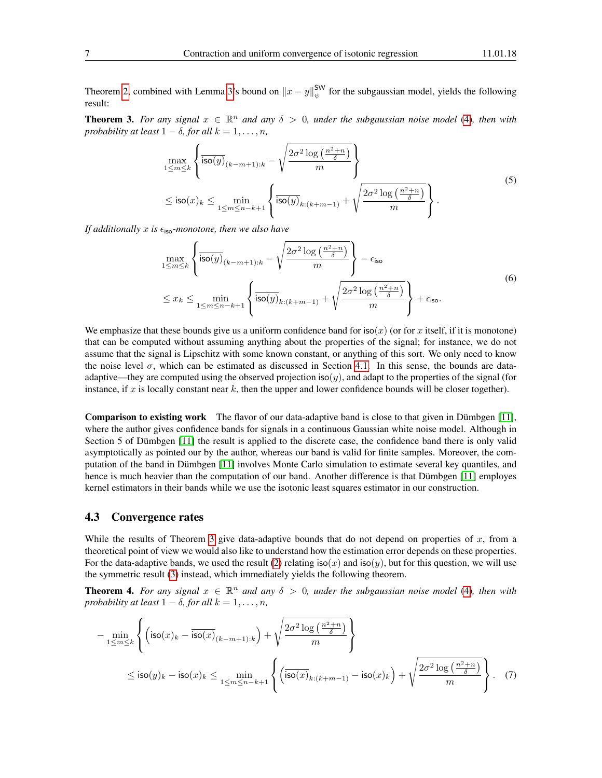Theorem [2,](#page-4-2) combined with Lemma [3'](#page-4-5)s bound on  $||x - y||_{\psi}^{\text{SW}}$  for the subgaussian model, yields the following result:

<span id="page-6-0"></span>**Theorem 3.** For any signal  $x \in \mathbb{R}^n$  and any  $\delta > 0$ , under the subgaussian noise model [\(4\)](#page-5-0), then with *probability at least*  $1 - \delta$ *, for all*  $k = 1, \ldots, n$ *,* 

$$
\max_{1 \le m \le k} \left\{ \overline{\text{iso}(y)}_{(k-m+1):k} - \sqrt{\frac{2\sigma^2 \log\left(\frac{n^2+n}{\delta}\right)}{m}} \right\}
$$
\n
$$
\le \text{iso}(x)_k \le \min_{1 \le m \le n-k+1} \left\{ \overline{\text{iso}(y)}_{k:(k+m-1)} + \sqrt{\frac{2\sigma^2 \log\left(\frac{n^2+n}{\delta}\right)}{m}} \right\}.
$$
\n(5)

<span id="page-6-4"></span><span id="page-6-3"></span>*If additionally* x *is*  $\epsilon_{\text{iso}}$ *-monotone, then we also have* 

$$
\max_{1 \le m \le k} \left\{ \overline{\text{iso}(y)}_{(k-m+1):k} - \sqrt{\frac{2\sigma^2 \log\left(\frac{n^2+n}{\delta}\right)}{m}} \right\} - \epsilon_{\text{iso}} \tag{6}
$$
\n
$$
\le x_k \le \min_{1 \le m \le n-k+1} \left\{ \overline{\text{iso}(y)}_{k:(k+m-1)} + \sqrt{\frac{2\sigma^2 \log\left(\frac{n^2+n}{\delta}\right)}{m}} \right\} + \epsilon_{\text{iso}}.
$$

We emphasize that these bounds give us a uniform confidence band for iso(x) (or for x itself, if it is monotone) that can be computed without assuming anything about the properties of the signal; for instance, we do not assume that the signal is Lipschitz with some known constant, or anything of this sort. We only need to know the noise level  $\sigma$ , which can be estimated as discussed in Section [4.1.](#page-5-1) In this sense, the bounds are dataadaptive—they are computed using the observed projection iso $(y)$ , and adapt to the properties of the signal (for instance, if  $x$  is locally constant near  $k$ , then the upper and lower confidence bounds will be closer together).

Comparison to existing work The flavor of our data-adaptive band is close to that given in Dümbgen [\[11\]](#page-15-10), where the author gives confidence bands for signals in a continuous Gaussian white noise model. Although in Section 5 of Dümbgen [\[11\]](#page-15-10) the result is applied to the discrete case, the confidence band there is only valid asymptotically as pointed our by the author, whereas our band is valid for finite samples. Moreover, the computation of the band in Dümbgen [\[11\]](#page-15-10) involves Monte Carlo simulation to estimate several key quantiles, and hence is much heavier than the computation of our band. Another difference is that Dümbgen [\[11\]](#page-15-10) employes kernel estimators in their bands while we use the isotonic least squares estimator in our construction.

#### 4.3 Convergence rates

While the results of Theorem [3](#page-6-0) give data-adaptive bounds that do not depend on properties of x, from a theoretical point of view we would also like to understand how the estimation error depends on these properties. For the data-adaptive bands, we used the result [\(2\)](#page-4-3) relating  $iso(x)$  and  $iso(y)$ , but for this question, we will use the symmetric result [\(3\)](#page-4-4) instead, which immediately yields the following theorem.

<span id="page-6-1"></span>**Theorem 4.** For any signal  $x \in \mathbb{R}^n$  and any  $\delta > 0$ , under the subgaussian noise model [\(4\)](#page-5-0), then with *probability at least*  $1 - \delta$ *, for all*  $k = 1, \ldots, n$ *,* 

<span id="page-6-2"></span>
$$
-\min_{1 \le m \le k} \left\{ \left( \mathsf{iso}(x)_k - \overline{\mathsf{iso}(x)}_{(k-m+1):k} \right) + \sqrt{\frac{2\sigma^2 \log\left(\frac{n^2+n}{\delta}\right)}{m}} \right\}
$$
  

$$
\le \mathsf{iso}(y)_k - \mathsf{iso}(x)_k \le \min_{1 \le m \le n-k+1} \left\{ \left( \overline{\mathsf{iso}(x)}_{k:(k+m-1)} - \mathsf{iso}(x)_k \right) + \sqrt{\frac{2\sigma^2 \log\left(\frac{n^2+n}{\delta}\right)}{m}} \right\}. \quad (7)
$$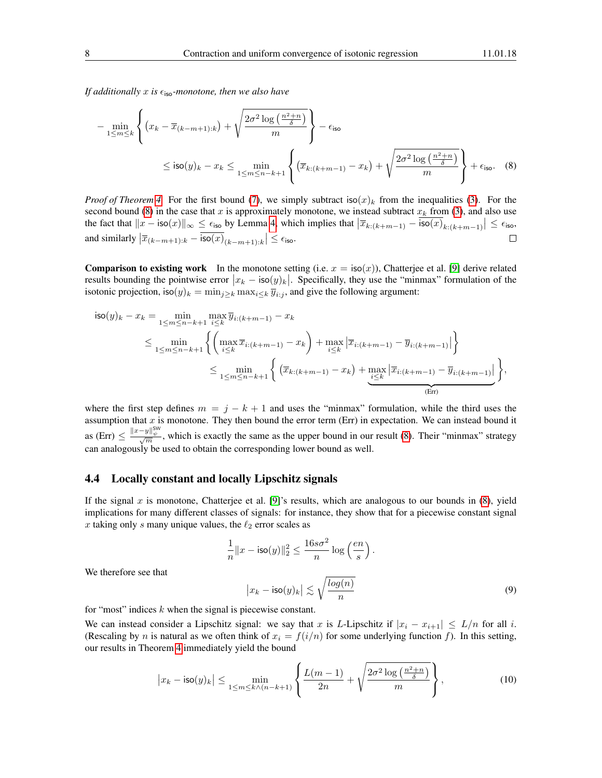*If additionally*  $x$  *is*  $\epsilon$ <sub>iso</sub>-monotone, then we also have

<span id="page-7-0"></span>
$$
-\min_{1 \le m \le k} \left\{ (x_k - \overline{x}_{(k-m+1):k}) + \sqrt{\frac{2\sigma^2 \log\left(\frac{n^2+n}{\delta}\right)}{m}} \right\} - \epsilon_{\text{iso}}
$$
  
 
$$
\le \text{iso}(y)_k - x_k \le \min_{1 \le m \le n-k+1} \left\{ \left( \overline{x}_{k:(k+m-1)} - x_k \right) + \sqrt{\frac{2\sigma^2 \log\left(\frac{n^2+n}{\delta}\right)}{m}} \right\} + \epsilon_{\text{iso}}.
$$
 (8)

*Proof of Theorem* [4.](#page-6-1) For the first bound [\(7\)](#page-6-2), we simply subtract iso(x)<sub>k</sub> from the inequalities [\(3\)](#page-4-4). For the second bound [\(8\)](#page-7-0) in the case that x is approximately monotone, we instead subtract  $x<sub>k</sub>$  from [\(3\)](#page-4-4), and also use the fact that  $||x - \text{iso}(x)||_{\infty} \leq \epsilon_{\text{iso}}$  by Lemma [4,](#page-5-2) which implies that  $|\overline{x}_{k:(k+m-1)} - \overline{\text{iso}(x)}_{k:(k+m-1)}| \leq \epsilon_{\text{iso}}$ , and similarly  $|\overline{x}_{(k-m+1):k} - \overline{\text{iso}(x)}_{(k-m+1):k}| \leq \epsilon_{\text{iso}}$ .

**Comparison to existing work** In the monotone setting (i.e.  $x = \text{iso}(x)$ ), Chatterjee et al. [\[9\]](#page-15-6) derive related results bounding the pointwise error  $|x_k - \text{iso}(y)_k|$ . Specifically, they use the "minmax" formulation of the isotonic projection, iso $(y)_k = \min_{j \ge k} \max_{i \le k} \overline{y}_{i:j}$ , and give the following argument:

$$
\begin{split} \mathsf{iso}(y)_k - x_k &= \min_{1 \le m \le n-k+1} \max_{i \le k} \overline{y}_{i:(k+m-1)} - x_k \\ &\le \min_{1 \le m \le n-k+1} \left\{ \left( \max_{i \le k} \overline{x}_{i:(k+m-1)} - x_k \right) + \max_{i \le k} \left| \overline{x}_{i:(k+m-1)} - \overline{y}_{i:(k+m-1)} \right| \right\} \\ &\le \min_{1 \le m \le n-k+1} \left\{ \left( \overline{x}_{k:(k+m-1)} - x_k \right) + \max_{i \le k} \left| \overline{x}_{i:(k+m-1)} - \overline{y}_{i:(k+m-1)} \right| \right\}, \end{split}
$$

where the first step defines  $m = j - k + 1$  and uses the "minmax" formulation, while the third uses the assumption that  $x$  is monotone. They then bound the error term (Err) in expectation. We can instead bound it as (Err)  $\leq \frac{||x-y||_{\psi}^{\text{SW}}}{\sqrt{m}}$ , which is exactly the same as the upper bound in our result [\(8\)](#page-7-0). Their "minmax" strategy can analogously be used to obtain the corresponding lower bound as well.

#### 4.4 Locally constant and locally Lipschitz signals

If the signal x is monotone, Chatterjee et al. [\[9\]](#page-15-6)'s results, which are analogous to our bounds in  $(8)$ , yield implications for many different classes of signals: for instance, they show that for a piecewise constant signal x taking only s many unique values, the  $\ell_2$  error scales as

<span id="page-7-1"></span>
$$
\frac{1}{n} ||x - \text{iso}(y)||_2^2 \le \frac{16s\sigma^2}{n} \log\left(\frac{en}{s}\right).
$$

$$
|x_k - \text{iso}(y)_k| \lesssim \sqrt{\frac{\log(n)}{n}} \tag{9}
$$

We therefore see that

for "most" indices  $k$  when the signal is piecewise constant.

We can instead consider a Lipschitz signal: we say that x is L-Lipschitz if  $|x_i - x_{i+1}| \leq L/n$  for all i. (Rescaling by n is natural as we often think of  $x_i = f(i/n)$  for some underlying function f). In this setting, our results in Theorem [4](#page-6-1) immediately yield the bound

<span id="page-7-2"></span>
$$
\left| x_k - \mathsf{iso}(y)_k \right| \le \min_{1 \le m \le k \wedge (n-k+1)} \left\{ \frac{L(m-1)}{2n} + \sqrt{\frac{2\sigma^2 \log\left(\frac{n^2+n}{\delta}\right)}{m}} \right\},\tag{10}
$$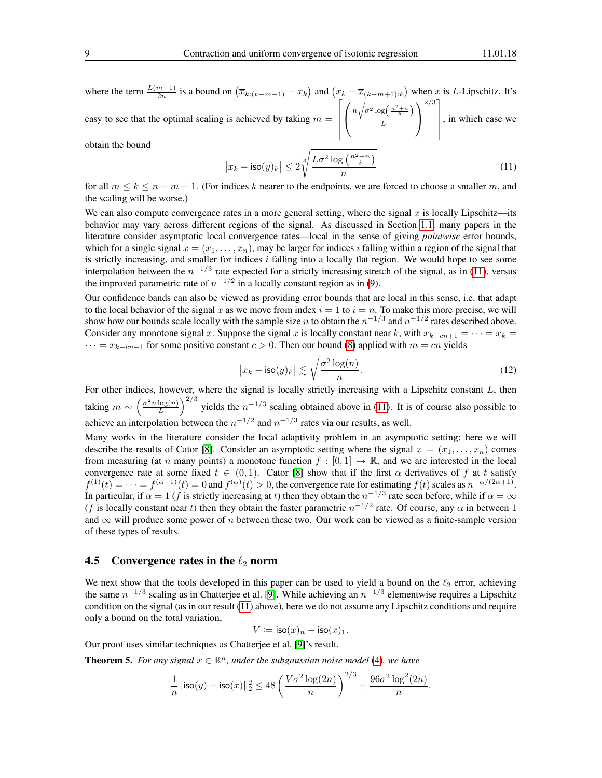where the term  $\frac{L(m-1)}{2n}$  is a bound on  $(\overline{x}_{k:(k+m-1)} - x_k)$  and  $(x_k - \overline{x}_{(k-m+1):k})$  when x is L-Lipschitz. It's  $_{2n}$ easy to see that the optimal scaling is achieved by taking  $m =$  $\lceil$   $\sqrt{ }$  $\mathcal{L}$  $n\sqrt{\sigma^2\log\left(\frac{n^2+n}{\delta}\right)}$ L  $\setminus$  $\overline{1}$  $2/3$ ] , in which case we

obtain the bound

<span id="page-8-0"></span>
$$
\left| x_k - \text{iso}(y)_k \right| \le 2 \sqrt[3]{\frac{L\sigma^2 \log\left(\frac{n^2 + n}{\delta}\right)}{n}} \tag{11}
$$

for all  $m \leq k \leq n-m+1$ . (For indices k nearer to the endpoints, we are forced to choose a smaller m, and the scaling will be worse.)

We can also compute convergence rates in a more general setting, where the signal  $x$  is locally Lipschitz—its behavior may vary across different regions of the signal. As discussed in Section [1.1,](#page-1-1) many papers in the literature consider asymptotic local convergence rates—local in the sense of giving *pointwise* error bounds, which for a single signal  $x = (x_1, \ldots, x_n)$ , may be larger for indices i falling within a region of the signal that is strictly increasing, and smaller for indices  $i$  falling into a locally flat region. We would hope to see some interpolation between the  $n^{-1/3}$  rate expected for a strictly increasing stretch of the signal, as in [\(11\)](#page-8-0), versus the improved parametric rate of  $n^{-1/2}$  in a locally constant region as in [\(9\)](#page-7-1).

Our confidence bands can also be viewed as providing error bounds that are local in this sense, i.e. that adapt to the local behavior of the signal x as we move from index  $i = 1$  to  $i = n$ . To make this more precise, we will show how our bounds scale locally with the sample size *n* to obtain the  $n^{-1/3}$  and  $n^{-1/2}$  rates described above. Consider any monotone signal x. Suppose the signal x is locally constant near k, with  $x_{k-cn+1} = \cdots = x_k =$  $\cdots = x_{k+cn-1}$  for some positive constant  $c > 0$ . Then our bound [\(8\)](#page-7-0) applied with  $m = cn$  yields

<span id="page-8-1"></span>
$$
\left| x_k - \text{iso}(y)_k \right| \lesssim \sqrt{\frac{\sigma^2 \log(n)}{n}}.
$$
 (12)

For other indices, however, where the signal is locally strictly increasing with a Lipschitz constant L, then taking  $m \sim \left(\frac{\sigma^2 n \log(n)}{L}\right)$  $\frac{\log(n)}{L}$   $\Big)^{2/3}$  yields the  $n^{-1/3}$  scaling obtained above in [\(11\)](#page-8-0). It is of course also possible to achieve an interpolation between the  $n^{-1/2}$  and  $n^{-1/3}$  rates via our results, as well.

Many works in the literature consider the local adaptivity problem in an asymptotic setting; here we will describe the results of Cator [\[8\]](#page-15-9). Consider an asymptotic setting where the signal  $x = (x_1, \ldots, x_n)$  comes from measuring (at n many points) a monotone function  $f : [0, 1] \to \mathbb{R}$ , and we are interested in the local convergence rate at some fixed  $t \in (0,1)$ . Cator [\[8\]](#page-15-9) show that if the first  $\alpha$  derivatives of f at t satisfy  $f^{(1)}(t) = \cdots = f^{(\alpha-1)}(t) = 0$  and  $f^{(\alpha)}(t) > 0$ , the convergence rate for estimating  $f(t)$  scales as  $n^{-\alpha/(2\alpha+1)}$ . In particular, if  $\alpha = 1$  (f is strictly increasing at t) then they obtain the  $n^{-1/3}$  rate seen before, while if  $\alpha = \infty$ (f is locally constant near t) then they obtain the faster parametric  $n^{-1/2}$  rate. Of course, any  $\alpha$  in between 1 and  $\infty$  will produce some power of n between these two. Our work can be viewed as a finite-sample version of these types of results.

#### 4.5 Convergence rates in the  $\ell_2$  norm

We next show that the tools developed in this paper can be used to yield a bound on the  $\ell_2$  error, achieving the same  $n^{-1/3}$  scaling as in Chatterjee et al. [\[9\]](#page-15-6). While achieving an  $n^{-1/3}$  elementwise requires a Lipschitz condition on the signal (as in our result [\(11\)](#page-8-0) above), here we do not assume any Lipschitz conditions and require only a bound on the total variation,

$$
V \coloneqq \mathsf{iso}(x)_n - \mathsf{iso}(x)_1.
$$

Our proof uses similar techniques as Chatterjee et al. [\[9\]](#page-15-6)'s result.

<span id="page-8-2"></span>**Theorem 5.** For any signal  $x \in \mathbb{R}^n$ , under the subgaussian noise model [\(4\)](#page-5-0), we have

$$
\frac{1}{n}||\text{iso}(y) - \text{iso}(x)||_2^2 \le 48\left(\frac{V\sigma^2\log(2n)}{n}\right)^{2/3} + \frac{96\sigma^2\log^2(2n)}{n}.
$$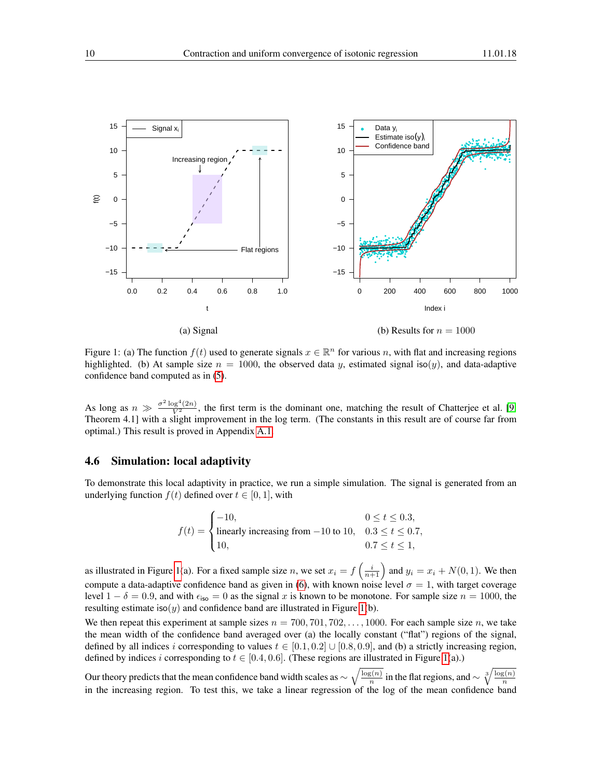

<span id="page-9-0"></span>Figure 1: (a) The function  $f(t)$  used to generate signals  $x \in \mathbb{R}^n$  for various n, with flat and increasing regions highlighted. (b) At sample size  $n = 1000$ , the observed data y, estimated signal iso(y), and data-adaptive confidence band computed as in [\(5\)](#page-6-3).

As long as  $n \gg \frac{\sigma^2 \log^4(2n)}{V^2}$ , the first term is the dominant one, matching the result of Chatterjee et al. [\[9,](#page-15-6) Theorem 4.1] with a slight improvement in the log term. (The constants in this result are of course far from optimal.) This result is proved in Appendix [A.1.](#page-16-0)

#### 4.6 Simulation: local adaptivity

To demonstrate this local adaptivity in practice, we run a simple simulation. The signal is generated from an underlying function  $f(t)$  defined over  $t \in [0, 1]$ , with

$$
f(t) = \begin{cases} -10, & 0 \le t \le 0.3, \\ \text{linearly increasing from } -10 \text{ to } 10, & 0.3 \le t \le 0.7, \\ 10, & 0.7 \le t \le 1, \end{cases}
$$

as illustrated in Figure [1\(](#page-9-0)a). For a fixed sample size n, we set  $x_i = f\left(\frac{i}{n+1}\right)$  and  $y_i = x_i + N(0, 1)$ . We then compute a data-adaptive confidence band as given in [\(6\)](#page-6-4), with known noise level  $\sigma = 1$ , with target coverage level  $1 - \delta = 0.9$ , and with  $\epsilon_{\text{iso}} = 0$  as the signal x is known to be monotone. For sample size  $n = 1000$ , the resulting estimate iso(y) and confidence band are illustrated in Figure [1\(](#page-9-0)b).

We then repeat this experiment at sample sizes  $n = 700, 701, 702, \ldots, 1000$ . For each sample size n, we take the mean width of the confidence band averaged over (a) the locally constant ("flat") regions of the signal, defined by all indices i corresponding to values  $t \in [0.1, 0.2] \cup [0.8, 0.9]$ , and (b) a strictly increasing region, defined by indices i corresponding to  $t \in [0.4, 0.6]$ . (These regions are illustrated in Figure [1\(](#page-9-0)a).)

Our theory predicts that the mean confidence band width scales as  $\sim \sqrt{\frac{\log(n)}{n}}$  $\frac{\overline{s(n)}}{n}$  in the flat regions, and  $\sim \sqrt[3]{\frac{\log(n)}{n}}$ our dictry predicts that the mean connuence band which searcs as  $\sqrt[n]{\binom{n}{n}}$  in the matricesons, and  $\sqrt[n]{\binom{n}{n}}$  in the increasing region. To test this, we take a linear regression of the log of the mean confidence ba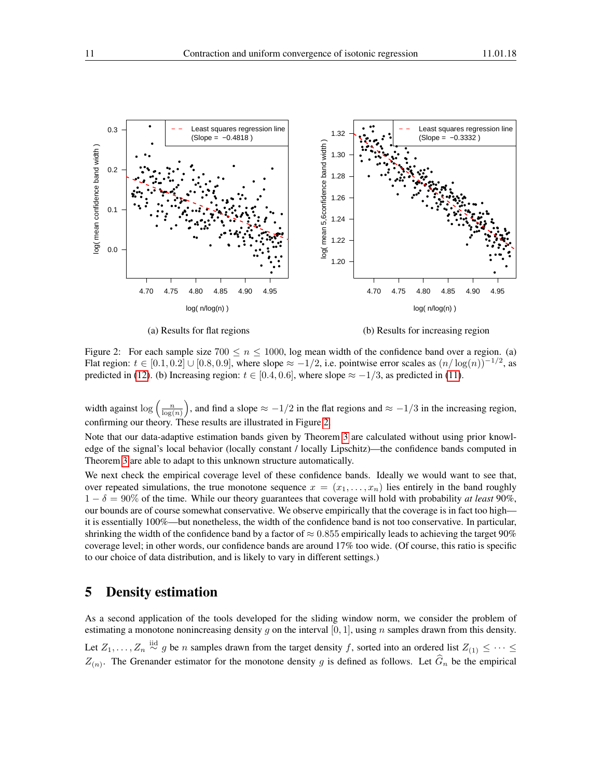

<span id="page-10-0"></span>(a) Results for flat regions (b) Results for increasing region

Figure 2: For each sample size  $700 \le n \le 1000$ , log mean width of the confidence band over a region. (a) Flat region:  $t \in [0.1, 0.2] \cup [0.8, 0.9]$ , where slope  $\approx -1/2$ , i.e. pointwise error scales as  $(n/\log(n))^{-1/2}$ , as predicted in [\(12\)](#page-8-1). (b) Increasing region:  $t \in [0.4, 0.6]$ , where slope  $\approx -1/3$ , as predicted in [\(11\)](#page-8-0).

width against  $\log\left(\frac{n}{\log(n)}\right)$ , and find a slope  $\approx -1/2$  in the flat regions and  $\approx -1/3$  in the increasing region, confirming our theory. These results are illustrated in Figure [2.](#page-10-0)

Note that our data-adaptive estimation bands given by Theorem [3](#page-6-0) are calculated without using prior knowledge of the signal's local behavior (locally constant / locally Lipschitz)—the confidence bands computed in Theorem [3](#page-6-0) are able to adapt to this unknown structure automatically.

We next check the empirical coverage level of these confidence bands. Ideally we would want to see that, over repeated simulations, the true monotone sequence  $x = (x_1, \ldots, x_n)$  lies entirely in the band roughly  $1 - \delta = 90\%$  of the time. While our theory guarantees that coverage will hold with probability *at least* 90%, our bounds are of course somewhat conservative. We observe empirically that the coverage is in fact too high it is essentially 100%—but nonetheless, the width of the confidence band is not too conservative. In particular, shrinking the width of the confidence band by a factor of  $\approx 0.855$  empirically leads to achieving the target 90% coverage level; in other words, our confidence bands are around 17% too wide. (Of course, this ratio is specific to our choice of data distribution, and is likely to vary in different settings.)

## 5 Density estimation

As a second application of the tools developed for the sliding window norm, we consider the problem of estimating a monotone nonincreasing density q on the interval [0, 1], using n samples drawn from this density. Let  $Z_1, \ldots, Z_n \stackrel{\text{iid}}{\sim} g$  be n samples drawn from the target density f, sorted into an ordered list  $Z_{(1)} \leq \cdots \leq$  $Z(n)$ . The Grenander estimator for the monotone density g is defined as follows. Let  $G_n$  be the empirical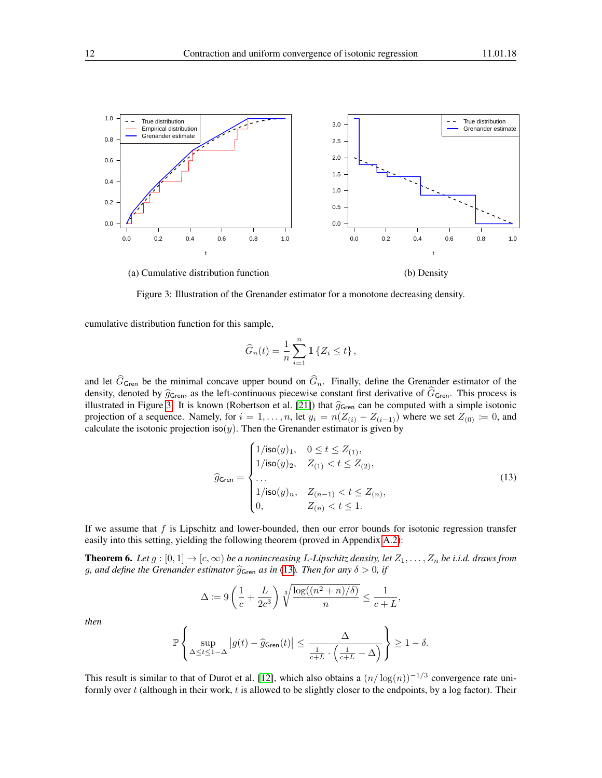

(a) Cumulative distribution function (b) Density

<span id="page-11-0"></span>Figure 3: Illustration of the Grenander estimator for a monotone decreasing density.

cumulative distribution function for this sample,

$$
\widehat{G}_n(t) = \frac{1}{n} \sum_{i=1}^n \mathbb{1} \left\{ Z_i \le t \right\},\,
$$

and let  $\widehat{G}_{\mathsf{Green}}$  be the minimal concave upper bound on  $\widehat{G}_n$ . Finally, define the Grenander estimator of the density, denoted by  $\hat{g}_{\mathsf{Gren}}$ , as the left-continuous piecewise constant first derivative of  $\hat{G}_{\mathsf{Gren}}$ . This process is illustrated in Figure [3.](#page-11-0) It is known (Robertson et al. [\[21\]](#page-15-0)) that  $\hat{g}_{\mathsf{Gren}}$  can be computed with a simple isotonic projection of a sequence. Namely, for  $i = 1, \ldots, n$ , let  $y_i = n(Z_{(i)} - Z_{(i-1)})$  where we set  $Z_{(0)} \coloneqq 0$ , and calculate the isotonic projection iso(y). Then the Grenander estimator is given by

<span id="page-11-1"></span>
$$
\widehat{g}_{\mathsf{Gren}} = \begin{cases}\n1/\mathsf{iso}(y)_1, & 0 \le t \le Z_{(1)}, \\
1/\mathsf{iso}(y)_2, & Z_{(1)} < t \le Z_{(2)}, \\
\ldots \\
1/\mathsf{iso}(y)_n, & Z_{(n-1)} < t \le Z_{(n)}, \\
0, & Z_{(n)} < t \le 1.\n\end{cases} \tag{13}
$$

If we assume that  $f$  is Lipschitz and lower-bounded, then our error bounds for isotonic regression transfer easily into this setting, yielding the following theorem (proved in Appendix [A.2\)](#page-18-0):

<span id="page-11-2"></span>**Theorem 6.** Let  $g:[0,1]\to[c,\infty)$  be a nonincreasing L-Lipschitz density, let  $Z_1,\ldots,Z_n$  be i.i.d. draws from g, and define the Grenander estimator  $\hat{g}_{\mathsf{Gren}}$  *as in* [\(13\)](#page-11-1). Then for any  $\delta > 0$ , if

$$
\Delta \coloneqq 9\left(\frac{1}{c} + \frac{L}{2c^3}\right) \sqrt[3]{\frac{\log((n^2 + n)/\delta)}{n}} \le \frac{1}{c+L},
$$

*then*

$$
\mathbb{P}\left\{\sup_{\Delta\leq t\leq 1-\Delta}\left|g(t)-\widehat{g}_{\mathsf{Gren}}(t)\right|\leq \frac{\Delta}{\frac{1}{c+L}\cdot\left(\frac{1}{c+L}-\Delta\right)}\right\}\geq 1-\delta.
$$

This result is similar to that of Durot et al. [\[12\]](#page-15-16), which also obtains a  $(n/\log(n))^{-1/3}$  convergence rate uniformly over  $t$  (although in their work,  $t$  is allowed to be slightly closer to the endpoints, by a log factor). Their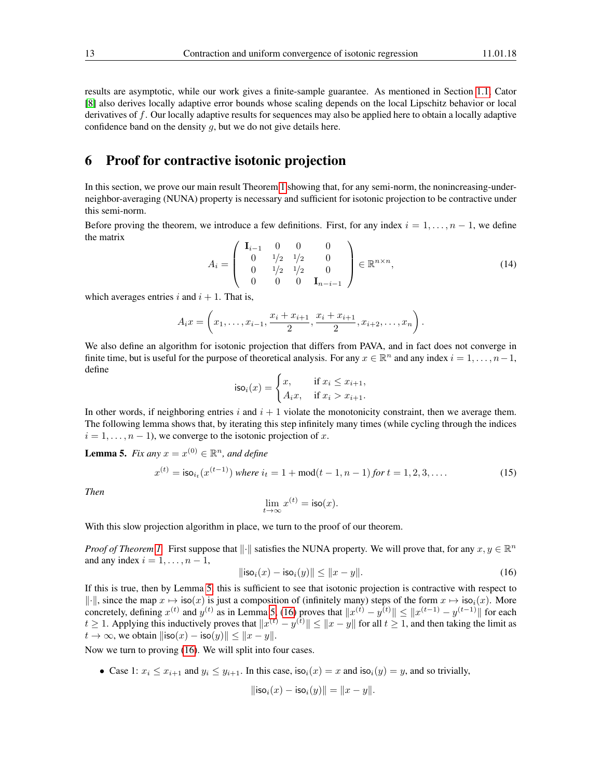results are asymptotic, while our work gives a finite-sample guarantee. As mentioned in Section [1.1,](#page-1-1) Cator [\[8\]](#page-15-9) also derives locally adaptive error bounds whose scaling depends on the local Lipschitz behavior or local derivatives of f. Our locally adaptive results for sequences may also be applied here to obtain a locally adaptive confidence band on the density  $q$ , but we do not give details here.

## <span id="page-12-0"></span>6 Proof for contractive isotonic projection

In this section, we prove our main result Theorem [1](#page-3-0) showing that, for any semi-norm, the nonincreasing-underneighbor-averaging (NUNA) property is necessary and sufficient for isotonic projection to be contractive under this semi-norm.

Before proving the theorem, we introduce a few definitions. First, for any index  $i = 1, \ldots, n - 1$ , we define the matrix  $\sqrt{1}$ 

<span id="page-12-4"></span>
$$
A_{i} = \begin{pmatrix} \mathbf{I}_{i-1} & 0 & 0 & 0 \\ 0 & 1/2 & 1/2 & 0 \\ 0 & 1/2 & 1/2 & 0 \\ 0 & 0 & 0 & \mathbf{I}_{n-i-1} \end{pmatrix} \in \mathbb{R}^{n \times n}, \tag{14}
$$

which averages entries i and  $i + 1$ . That is,

$$
A_i x = \left(x_1, \ldots, x_{i-1}, \frac{x_i + x_{i+1}}{2}, \frac{x_i + x_{i+1}}{2}, x_{i+2}, \ldots, x_n\right).
$$

We also define an algorithm for isotonic projection that differs from PAVA, and in fact does not converge in finite time, but is useful for the purpose of theoretical analysis. For any  $x \in \mathbb{R}^n$  and any index  $i = 1, \ldots, n-1$ , define

$$
\mathsf{iso}_i(x) = \begin{cases} x, & \text{if } x_i \le x_{i+1}, \\ A_i x, & \text{if } x_i > x_{i+1}. \end{cases}
$$

In other words, if neighboring entries i and  $i + 1$  violate the monotonicity constraint, then we average them. The following lemma shows that, by iterating this step infinitely many times (while cycling through the indices  $i = 1, \ldots, n - 1$ , we converge to the isotonic projection of x.

<span id="page-12-1"></span>**Lemma 5.** *Fix any*  $x = x^{(0)} \in \mathbb{R}^n$ *, and define* 

<span id="page-12-3"></span>
$$
x^{(t)} = \mathsf{iso}_{i_t}(x^{(t-1)}) \text{ where } i_t = 1 + \text{mod}(t-1, n-1) \text{ for } t = 1, 2, 3, \dots
$$
 (15)

*Then*

$$
\lim_{t \to \infty} x^{(t)} = \mathsf{iso}(x).
$$

With this slow projection algorithm in place, we turn to the proof of our theorem.

*Proof of Theorem [1.](#page-3-0)* First suppose that  $\|\cdot\|$  satisfies the NUNA property. We will prove that, for any  $x, y \in \mathbb{R}^n$ and any index  $i = 1, \ldots, n - 1$ ,

<span id="page-12-2"></span>
$$
\|\mathsf{iso}_i(x) - \mathsf{iso}_i(y)\| \le \|x - y\|.\tag{16}
$$

If this is true, then by Lemma [5,](#page-12-1) this is sufficient to see that isotonic projection is contractive with respect to  $\|\cdot\|$ , since the map  $x \mapsto \text{iso}(x)$  is just a composition of (infinitely many) steps of the form  $x \mapsto \text{iso}_i(x)$ . More concretely, defining  $x^{(t)}$  and  $y^{(t)}$  as in Lemma [5,](#page-12-1) [\(16\)](#page-12-2) proves that  $||x^{(t)} - y^{(t)}|| \le ||x^{(t-1)} - y^{(t-1)}||$  for each  $t \ge 1$ . Applying this inductively proves that  $||x^{(t)} - y^{(t)}|| \le ||x - y||$  for all  $t \ge 1$ , and then taking the limit as  $t \to \infty$ , we obtain  $\|\text{iso}(x) - \text{iso}(y)\| \leq \|x - y\|.$ 

Now we turn to proving [\(16\)](#page-12-2). We will split into four cases.

• Case 1:  $x_i \le x_{i+1}$  and  $y_i \le y_{i+1}$ . In this case,  $\text{iso}_i(x) = x$  and  $\text{iso}_i(y) = y$ , and so trivially,

$$
\| \mathsf{iso}_i(x) - \mathsf{iso}_i(y) \| = \|x - y\|.
$$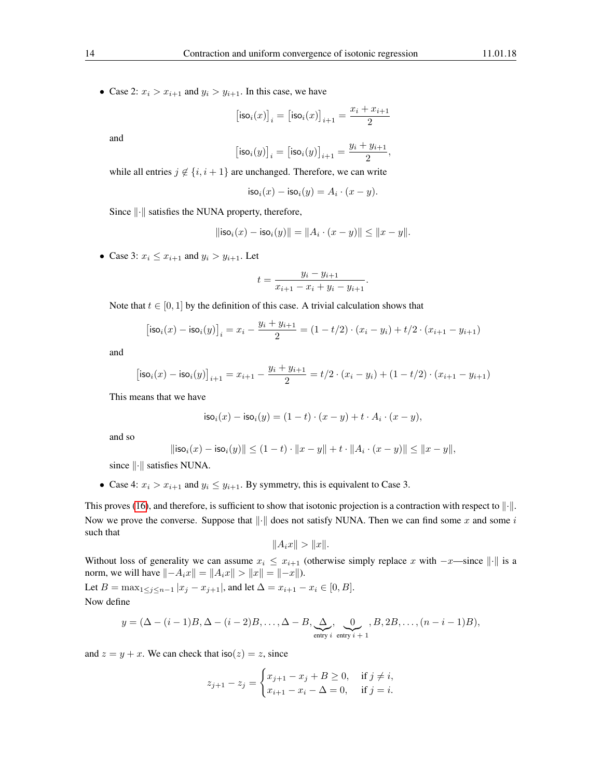• Case 2:  $x_i > x_{i+1}$  and  $y_i > y_{i+1}$ . In this case, we have

$$
\big[\mathsf{iso}_i(x)\big]_i = \big[\mathsf{iso}_i(x)\big]_{i+1} = \frac{x_i+x_{i+1}}{2}
$$

and

$$
\big[\mathsf{iso}_i(y)\big]_i = \big[\mathsf{iso}_i(y)\big]_{i+1} = \frac{y_i + y_{i+1}}{2},
$$

while all entries  $j \notin \{i, i + 1\}$  are unchanged. Therefore, we can write

$$
\mathsf{iso}_i(x) - \mathsf{iso}_i(y) = A_i \cdot (x - y).
$$

Since  $\|\cdot\|$  satisfies the NUNA property, therefore,

$$
\|\mathsf{iso}_i(x) - \mathsf{iso}_i(y)\| = \|A_i \cdot (x - y)\| \le \|x - y\|.
$$

• Case 3:  $x_i \leq x_{i+1}$  and  $y_i > y_{i+1}$ . Let

$$
t = \frac{y_i - y_{i+1}}{x_{i+1} - x_i + y_i - y_{i+1}}.
$$

Note that  $t \in [0, 1]$  by the definition of this case. A trivial calculation shows that

$$
[\mathsf{iso}_i(x) - \mathsf{iso}_i(y)]_i = x_i - \frac{y_i + y_{i+1}}{2} = (1 - t/2) \cdot (x_i - y_i) + t/2 \cdot (x_{i+1} - y_{i+1})
$$

and

$$
\big[\mathsf{iso}_i(x) - \mathsf{iso}_i(y)\big]_{i+1} = x_{i+1} - \frac{y_i + y_{i+1}}{2} = t/2 \cdot (x_i - y_i) + (1 - t/2) \cdot (x_{i+1} - y_{i+1})
$$

This means that we have

$$
\mathsf{iso}_i(x) - \mathsf{iso}_i(y) = (1-t) \cdot (x-y) + t \cdot A_i \cdot (x-y),
$$

and so

$$
\| \mathsf{iso}_i(x) - \mathsf{iso}_i(y) \| \le (1-t) \cdot \|x-y\| + t \cdot \|A_i \cdot (x-y)\| \le \|x-y\|,
$$

since  $\left\Vert \cdot\right\Vert$  satisfies NUNA.

• Case 4:  $x_i > x_{i+1}$  and  $y_i \le y_{i+1}$ . By symmetry, this is equivalent to Case 3.

This proves [\(16\)](#page-12-2), and therefore, is sufficient to show that isotonic projection is a contraction with respect to  $\|\cdot\|$ . Now we prove the converse. Suppose that  $\left\Vert \cdot\right\Vert$  does not satisfy NUNA. Then we can find some x and some i such that

$$
||A_ix|| > ||x||.
$$

Without loss of generality we can assume  $x_i \leq x_{i+1}$  (otherwise simply replace x with  $-x$ —since  $\|\cdot\|$  is a norm, we will have  $\|-A_ix\| = \|A_ix\| > \|x\| = |-x\|$ .

Let  $B = \max_{1 \leq j \leq n-1} |x_j - x_{j+1}|$ , and let  $\Delta = x_{i+1} - x_i \in [0, B]$ . Now define

$$
y = (\Delta - (i-1)B, \Delta - (i-2)B, \dots, \Delta - B, \underbrace{\Delta}_{\text{entry } i} \underbrace{0}_{\text{entry } i+1}, B, 2B, \dots, (n-i-1)B),
$$

and  $z = y + x$ . We can check that  $\text{iso}(z) = z$ , since

$$
z_{j+1} - z_j = \begin{cases} x_{j+1} - x_j + B \ge 0, & \text{if } j \ne i, \\ x_{i+1} - x_i - \Delta = 0, & \text{if } j = i. \end{cases}
$$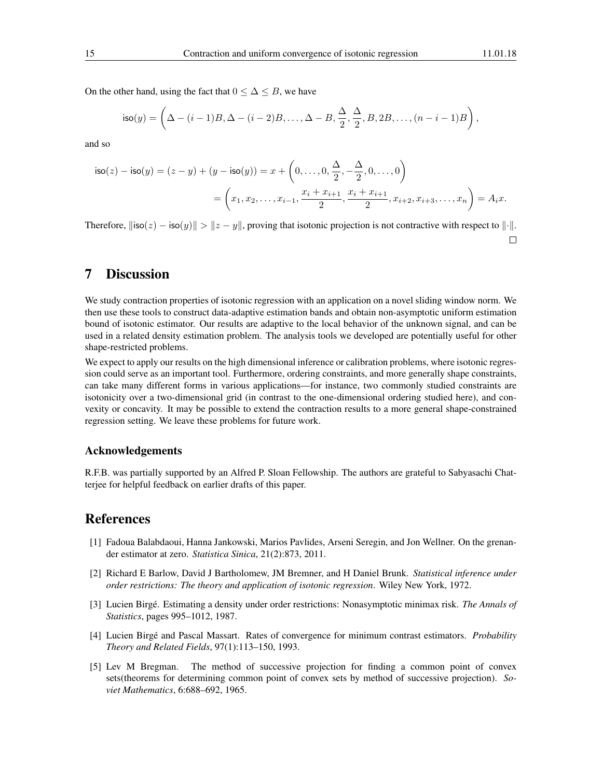On the other hand, using the fact that  $0 \leq \Delta \leq B$ , we have

$$
\mathsf{iso}(y) = \left(\Delta - (i-1)B, \Delta - (i-2)B, \ldots, \Delta - B, \frac{\Delta}{2}, \frac{\Delta}{2}, B, 2B, \ldots, (n-i-1)B\right),\,
$$

and so

$$
\mathsf{iso}(z) - \mathsf{iso}(y) = (z - y) + (y - \mathsf{iso}(y)) = x + \left(0, \dots, 0, \frac{\Delta}{2}, -\frac{\Delta}{2}, 0, \dots, 0\right)
$$

$$
= \left(x_1, x_2, \dots, x_{i-1}, \frac{x_i + x_{i+1}}{2}, \frac{x_i + x_{i+1}}{2}, x_{i+2}, x_{i+3}, \dots, x_n\right) = A_i x.
$$

Therefore,  $\|\text{iso}(z) - \text{iso}(y)\| > \|z - y\|$ , proving that isotonic projection is not contractive with respect to  $\|\cdot\|$ .  $\Box$ 

## 7 Discussion

We study contraction properties of isotonic regression with an application on a novel sliding window norm. We then use these tools to construct data-adaptive estimation bands and obtain non-asymptotic uniform estimation bound of isotonic estimator. Our results are adaptive to the local behavior of the unknown signal, and can be used in a related density estimation problem. The analysis tools we developed are potentially useful for other shape-restricted problems.

We expect to apply our results on the high dimensional inference or calibration problems, where isotonic regression could serve as an important tool. Furthermore, ordering constraints, and more generally shape constraints, can take many different forms in various applications—for instance, two commonly studied constraints are isotonicity over a two-dimensional grid (in contrast to the one-dimensional ordering studied here), and convexity or concavity. It may be possible to extend the contraction results to a more general shape-constrained regression setting. We leave these problems for future work.

#### Acknowledgements

R.F.B. was partially supported by an Alfred P. Sloan Fellowship. The authors are grateful to Sabyasachi Chatterjee for helpful feedback on earlier drafts of this paper.

## References

- <span id="page-14-3"></span>[1] Fadoua Balabdaoui, Hanna Jankowski, Marios Pavlides, Arseni Seregin, and Jon Wellner. On the grenander estimator at zero. *Statistica Sinica*, 21(2):873, 2011.
- <span id="page-14-0"></span>[2] Richard E Barlow, David J Bartholomew, JM Bremner, and H Daniel Brunk. *Statistical inference under order restrictions: The theory and application of isotonic regression*. Wiley New York, 1972.
- <span id="page-14-1"></span>[3] Lucien Birgé. Estimating a density under order restrictions: Nonasymptotic minimax risk. *The Annals of Statistics*, pages 995–1012, 1987.
- <span id="page-14-2"></span>[4] Lucien Birgé and Pascal Massart. Rates of convergence for minimum contrast estimators. *Probability Theory and Related Fields*, 97(1):113–150, 1993.
- <span id="page-14-4"></span>[5] Lev M Bregman. The method of successive projection for finding a common point of convex sets(theorems for determining common point of convex sets by method of successive projection). *Soviet Mathematics*, 6:688–692, 1965.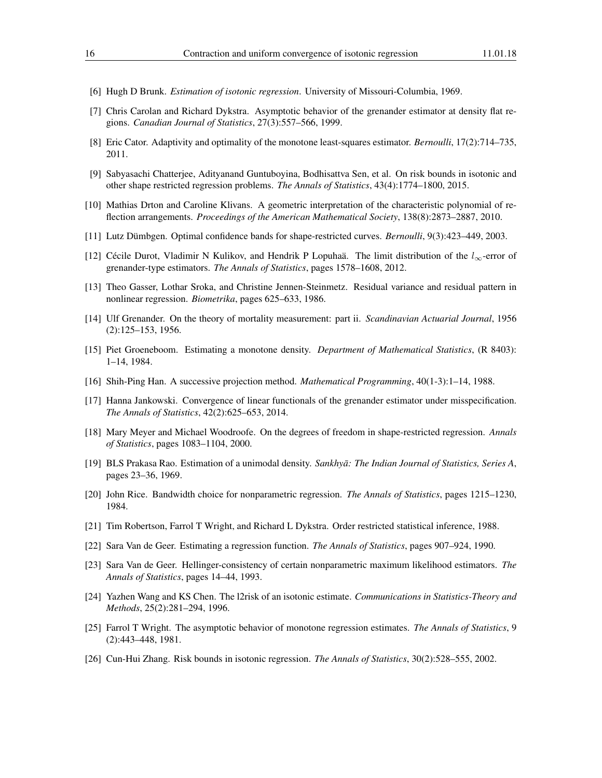- <span id="page-15-7"></span>[6] Hugh D Brunk. *Estimation of isotonic regression*. University of Missouri-Columbia, 1969.
- <span id="page-15-14"></span>[7] Chris Carolan and Richard Dykstra. Asymptotic behavior of the grenander estimator at density flat regions. *Canadian Journal of Statistics*, 27(3):557–566, 1999.
- <span id="page-15-9"></span>[8] Eric Cator. Adaptivity and optimality of the monotone least-squares estimator. *Bernoulli*, 17(2):714–735, 2011.
- <span id="page-15-6"></span>[9] Sabyasachi Chatterjee, Adityanand Guntuboyina, Bodhisattva Sen, et al. On risk bounds in isotonic and other shape restricted regression problems. *The Annals of Statistics*, 43(4):1774–1800, 2015.
- <span id="page-15-19"></span>[10] Mathias Drton and Caroline Klivans. A geometric interpretation of the characteristic polynomial of reflection arrangements. *Proceedings of the American Mathematical Society*, 138(8):2873–2887, 2010.
- <span id="page-15-10"></span>[11] Lutz Dümbgen. Optimal confidence bands for shape-restricted curves. *Bernoulli*, 9(3):423–449, 2003.
- <span id="page-15-16"></span>[12] Cécile Durot, Vladimir N Kulikov, and Hendrik P Lopuhaä. The limit distribution of the  $l_{\infty}$ -error of grenander-type estimators. *The Annals of Statistics*, pages 1578–1608, 2012.
- <span id="page-15-18"></span>[13] Theo Gasser, Lothar Sroka, and Christine Jennen-Steinmetz. Residual variance and residual pattern in nonlinear regression. *Biometrika*, pages 625–633, 1986.
- <span id="page-15-11"></span>[14] Ulf Grenander. On the theory of mortality measurement: part ii. *Scandinavian Actuarial Journal*, 1956 (2):125–153, 1956.
- <span id="page-15-13"></span>[15] Piet Groeneboom. Estimating a monotone density. *Department of Mathematical Statistics*, (R 8403): 1–14, 1984.
- <span id="page-15-20"></span>[16] Shih-Ping Han. A successive projection method. *Mathematical Programming*, 40(1-3):1–14, 1988.
- <span id="page-15-15"></span>[17] Hanna Jankowski. Convergence of linear functionals of the grenander estimator under misspecification. *The Annals of Statistics*, 42(2):625–653, 2014.
- <span id="page-15-3"></span>[18] Mary Meyer and Michael Woodroofe. On the degrees of freedom in shape-restricted regression. *Annals of Statistics*, pages 1083–1104, 2000.
- <span id="page-15-12"></span>[19] BLS Prakasa Rao. Estimation of a unimodal density. *Sankhyā: The Indian Journal of Statistics, Series A*, pages 23–36, 1969.
- <span id="page-15-17"></span>[20] John Rice. Bandwidth choice for nonparametric regression. *The Annals of Statistics*, pages 1215–1230, 1984.
- <span id="page-15-0"></span>[21] Tim Robertson, Farrol T Wright, and Richard L Dykstra. Order restricted statistical inference, 1988.
- <span id="page-15-1"></span>[22] Sara Van de Geer. Estimating a regression function. *The Annals of Statistics*, pages 907–924, 1990.
- <span id="page-15-4"></span>[23] Sara Van de Geer. Hellinger-consistency of certain nonparametric maximum likelihood estimators. *The Annals of Statistics*, pages 14–44, 1993.
- <span id="page-15-2"></span>[24] Yazhen Wang and KS Chen. The l2risk of an isotonic estimate. *Communications in Statistics-Theory and Methods*, 25(2):281–294, 1996.
- <span id="page-15-8"></span>[25] Farrol T Wright. The asymptotic behavior of monotone regression estimates. *The Annals of Statistics*, 9 (2):443–448, 1981.
- <span id="page-15-5"></span>[26] Cun-Hui Zhang. Risk bounds in isotonic regression. *The Annals of Statistics*, 30(2):528–555, 2002.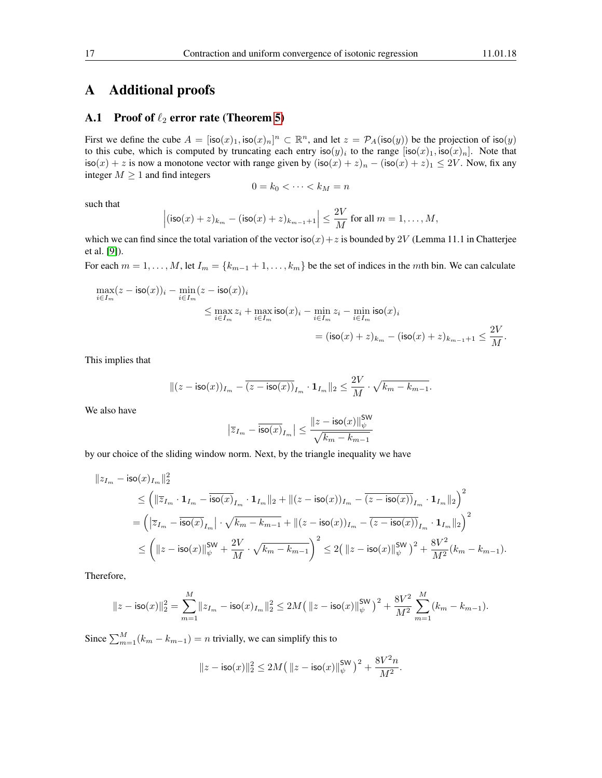## A Additional proofs

#### <span id="page-16-0"></span>A.1 Proof of  $\ell_2$  error rate (Theorem [5\)](#page-8-2)

First we define the cube  $A = [\text{iso}(x)_1, \text{iso}(x)_n]^n \subset \mathbb{R}^n$ , and let  $z = \mathcal{P}_A(\text{iso}(y))$  be the projection of  $\text{iso}(y)$ to this cube, which is computed by truncating each entry  $\text{iso}(y)_i$  to the range  $[\text{iso}(x)_1, \text{iso}(x)_n]$ . Note that  $\textsf{iso}(x) + z$  is now a monotone vector with range given by  $(\textsf{iso}(x) + z)_n - (\textsf{iso}(x) + z)_1 \leq 2V$ . Now, fix any integer  $M \geq 1$  and find integers

$$
0 = k_0 < \cdots < k_M = n
$$

such that

$$
\left|(\mathsf{iso}(x)+z)_{k_m}-(\mathsf{iso}(x)+z)_{k_{m-1}+1}\right|\leq \frac{2V}{M}\text{ for all }m=1,\ldots,M,
$$

which we can find since the total variation of the vector  $iso(x)+z$  is bounded by 2V (Lemma 11.1 in Chatterjee et al. [\[9\]](#page-15-6)).

For each  $m = 1, \ldots, M$ , let  $I_m = \{k_{m-1} + 1, \ldots, k_m\}$  be the set of indices in the mth bin. We can calculate

$$
\begin{aligned} \max_{i\in I_m}(z-\mathsf{iso}(x))_i-\min_{i\in I_m}(z-\mathsf{iso}(x))_i\\ &\leq \max_{i\in I_m}z_i+\max_{i\in I_m}\mathsf{iso}(x)_i-\min_{i\in I_m}z_i-\min_{i\in I_m}\mathsf{iso}(x)_i\\ &=(\mathsf{iso}(x)+z)_{k_m}-(\mathsf{iso}(x)+z)_{k_{m-1}+1}\leq \frac{2V}{M}.\end{aligned}
$$

This implies that

$$
\|(z-\mathsf{iso}(x))_{I_m}-\overline{(z-\mathsf{iso}(x))}_{I_m}\cdot\mathbf{1}_{I_m}\|_2\leq \frac{2V}{M}\cdot\sqrt{k_m-k_{m-1}}.
$$

We also have

$$
\left|\overline{z}_{I_m} - \overline{\mathrm{iso}(x)}_{I_m}\right| \leq \frac{\|z - \mathrm{iso}(x)\|_{\psi}^{\mathrm{SW}}}{\sqrt{k_m - k_{m-1}}}
$$

by our choice of the sliding window norm. Next, by the triangle inequality we have

$$
\begin{aligned} \|z_{I_m} - \mathrm{iso}(x)_{I_m}\|_2^2 \\ & \leq \left( \|\overline{z}_{I_m} \cdot \mathbf{1}_{I_m} - \overline{\mathrm{iso}(x)}_{I_m} \cdot \mathbf{1}_{I_m}\|_2 + \| (z - \mathrm{iso}(x))_{I_m} - \overline{(z - \mathrm{iso}(x))}_{I_m} \cdot \mathbf{1}_{I_m}\|_2 \right)^2 \\ & = \left( \left| \overline{z}_{I_m} - \overline{\mathrm{iso}(x)}_{I_m} \right| \cdot \sqrt{k_m - k_{m-1}} + \| (z - \mathrm{iso}(x))_{I_m} - \overline{(z - \mathrm{iso}(x))}_{I_m} \cdot \mathbf{1}_{I_m}\|_2 \right)^2 \\ & \leq \left( \| z - \mathrm{iso}(x) \|_\psi^{\mathrm{SW}} + \frac{2V}{M} \cdot \sqrt{k_m - k_{m-1}} \right)^2 \leq 2 \big( \left\| z - \mathrm{iso}(x) \right\|_\psi^{\mathrm{SW}} \big)^2 + \frac{8V^2}{M^2} (k_m - k_{m-1}). \end{aligned}
$$

Therefore,

$$
\|z-{\rm iso}(x)\|_2^2=\sum_{m=1}^M\|z_{I_m}-{\rm iso}(x)_{I_m}\|_2^2\leq 2M\big(\left\|z-{\rm iso}(x)\right\|_\psi^{\rm SW}\big)^2+\frac{8V^2}{M^2}\sum_{m=1}^M(k_m-k_{m-1}).
$$

Since  $\sum_{m=1}^{M} (k_m - k_{m-1}) = n$  trivially, we can simplify this to

$$
||z - \mathsf{iso}(x)||_2^2 \le 2M (||z - \mathsf{iso}(x)||_{\psi}^{\mathsf{SW}})^2 + \frac{8V^2n}{M^2}.
$$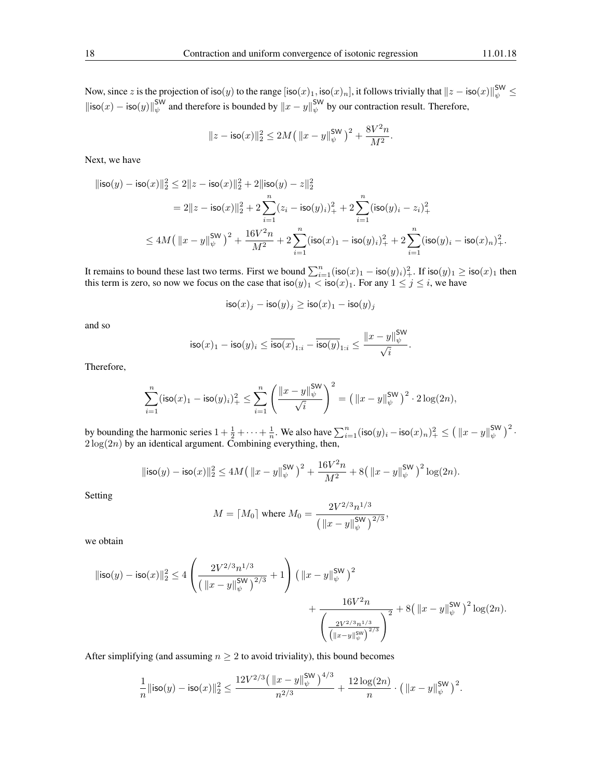Now, since  $z$  is the projection of iso $(y)$  to the range  $[\mathsf{iso}(x)_1, \mathsf{iso}(x)_n],$  it follows trivially that  $\|z-\mathsf{iso}(x)\|_\psi^{\mathsf{SW}} \leq$  $\|\text{iso}(x) - \text{iso}(y)\|_{\psi}^{\text{SW}}$  and therefore is bounded by  $\|x - y\|_{\psi}^{\text{SW}}$  by our contraction result. Therefore,

$$
||z - \mathrm{iso}(x)||_2^2 \le 2M\big(\left\|x - y\right\|_{\psi}^{\mathrm{SW}}\big)^2 + \frac{8V^2n}{M^2}.
$$

Next, we have

$$
\begin{aligned} \|\mathrm{iso}(y)-\mathrm{iso}(x)\|_2^2 &\leq 2\|z-\mathrm{iso}(x)\|_2^2+2\|\mathrm{iso}(y)-z\|_2^2\\&=2\|z-\mathrm{iso}(x)\|_2^2+2\sum_{i=1}^n (z_i-\mathrm{iso}(y)_i)_+^2+2\sum_{i=1}^n (\mathrm{iso}(y)_i-z_i)_+^2\\&\leq 4M\big(\left\|x-y\right\|_{\psi}^{\mathrm{SW}}\big)^2+\frac{16V^2n}{M^2}+2\sum_{i=1}^n (\mathrm{iso}(x)_1-\mathrm{iso}(y)_i)_+^2+2\sum_{i=1}^n (\mathrm{iso}(y)_i-\mathrm{iso}(x)_n)_+^2. \end{aligned}
$$

It remains to bound these last two terms. First we bound  $\sum_{i=1}^{n}(\textsf{iso}(x)_1 - \textsf{iso}(y)_i)_+^2$ . If  $\textsf{iso}(y)_1 \geq \textsf{iso}(x)_1$  then this term is zero, so now we focus on the case that  $\mathsf{iso}(y)_1 < \mathsf{iso}(x)_1$ . For any  $1 \le j \le i$ , we have

$$
\mathsf{iso}(x)_j - \mathsf{iso}(y)_j \ge \mathsf{iso}(x)_1 - \mathsf{iso}(y)_j
$$

and so

$$
\mathsf{iso}(x)_1 - \mathsf{iso}(y)_i \leq \overline{\mathsf{iso}(x)}_{1:i} - \overline{\mathsf{iso}(y)}_{1:i} \leq \frac{\|x-y\|_{\psi}^{\mathsf{SW}}}{\sqrt{i}}
$$

.

Therefore,

$$
\sum_{i=1}^n (\text{iso}(x)_1 - \text{iso}(y)_i)_+^2 \le \sum_{i=1}^n \left( \frac{\|x-y\|_{\psi}^{\text{SW}}}{\sqrt{i}} \right)^2 = \left( \|x-y\|_{\psi}^{\text{SW}} \right)^2 \cdot 2 \log(2n),
$$

by bounding the harmonic series  $1 + \frac{1}{2} + \cdots + \frac{1}{n}$ . We also have  $\sum_{i=1}^{n} (\textsf{iso}(y)_i - \textsf{iso}(x)_n)^2 + \leq (\|x - y\|_{\psi}^{\textsf{SW}})^2$ .  $2 \log(2n)$  by an identical argument. Combining everything, then,

$$
\|\mathsf{iso}(y) - \mathsf{iso}(x)\|_2^2 \le 4M\left(\|x - y\|_{\psi}^{\mathsf{SW}}\right)^2 + \frac{16V^2n}{M^2} + 8\left(\|x - y\|_{\psi}^{\mathsf{SW}}\right)^2\log(2n).
$$

Setting

$$
M = \lceil M_0 \rceil \text{ where } M_0 = \frac{2V^{2/3}n^{1/3}}{\left( \left\| x - y \right\|_{\psi}^{\text{SW}} \right)^{2/3}},
$$

we obtain

$$
\begin{aligned} \|\text{iso}(y)-\text{iso}(x)\|_2^2 & \leq 4\left(\frac{2V^{2/3}n^{1/3}}{\big(\left\|x-y\right\|_{\psi}^{\text{SW}}\big)^{2/3}}+1\right)\big(\left\|x-y\right\|_{\psi}^{\text{SW}}\big)^2 \\ & +\frac{16V^2n}{\left(\frac{2V^{2/3}n^{1/3}}{\big(\left\|x-y\right\|_{\psi}^{\text{SW}}\big)^{2/3}}\right)^2}+8\big(\left\|x-y\right\|_{\psi}^{\text{SW}}\big)^2\log(2n). \end{aligned}
$$

After simplifying (and assuming  $n \geq 2$  to avoid triviality), this bound becomes

$$
\frac{1}{n} \|\mathsf{iso}(y) - \mathsf{iso}(x)\|_2^2 \le \frac{12 V^{2/3} \left( \|x - y\|_\psi^{\mathsf{SW}} \right)^{4/3}}{n^{2/3}} + \frac{12 \log(2n)}{n} \cdot \left( \|x - y\|_\psi^{\mathsf{SW}} \right)^2.
$$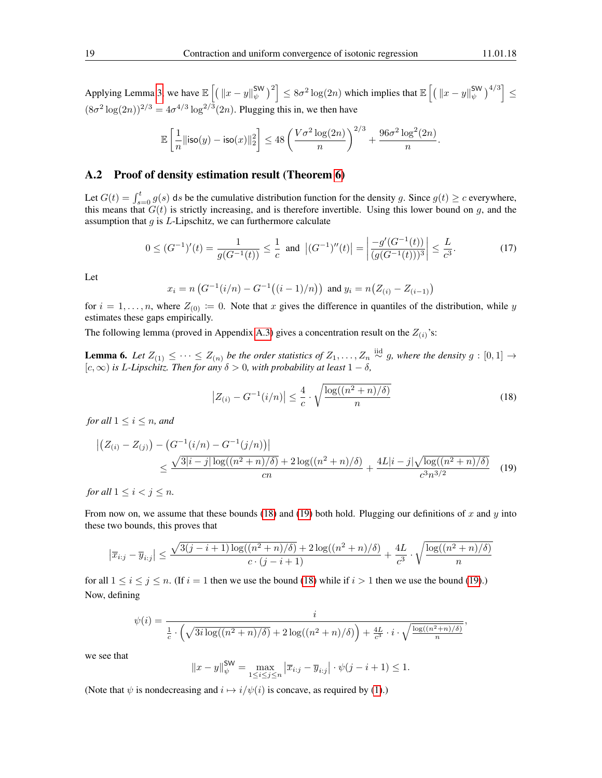Applying Lemma [3,](#page-4-5) we have  $\mathbb{E}\left[\left(\left\|x-y\right\|_{\psi}^{\mathsf{SW}}\right)^2\right] \leq 8\sigma^2\log(2n)$  which implies that  $\mathbb{E}\left[\left(\left\|x-y\right\|_{\psi}^{\mathsf{SW}}\right)^{4/3}\right] \leq$  $(8\sigma^2 \log(2n))^{2/3} = 4\sigma^{4/3} \log^{2/3}(2n)$ . Plugging this in, we then have

$$
\mathbb{E}\left[\frac{1}{n}\|{\rm iso}(y)-{\rm iso}(x)\|_2^2\right] \leq 48\left(\frac{V\sigma^2\log(2n)}{n}\right)^{2/3}+\frac{96\sigma^2\log^2(2n)}{n}.
$$

#### <span id="page-18-0"></span>A.2 Proof of density estimation result (Theorem [6\)](#page-11-2)

Let  $G(t) = \int_{s=0}^{t} g(s) ds$  be the cumulative distribution function for the density g. Since  $g(t) \ge c$  everywhere, this means that  $G(t)$  is strictly increasing, and is therefore invertible. Using this lower bound on g, and the assumption that  $g$  is  $L$ -Lipschitz, we can furthermore calculate

<span id="page-18-3"></span>
$$
0 \le (G^{-1})'(t) = \frac{1}{g(G^{-1}(t))} \le \frac{1}{c} \text{ and } |(G^{-1})''(t)| = \left| \frac{-g'(G^{-1}(t))}{(g(G^{-1}(t)))^3} \right| \le \frac{L}{c^3}.
$$
 (17)

Let

$$
x_i = n \left( G^{-1}(i/n) - G^{-1}((i-1)/n) \right) \text{ and } y_i = n \left( Z_{(i)} - Z_{(i-1)} \right)
$$

for  $i = 1, \ldots, n$ , where  $Z_{(0)} := 0$ . Note that x gives the difference in quantiles of the distribution, while y estimates these gaps empirically.

The following lemma (proved in Appendix [A.3\)](#page-21-0) gives a concentration result on the  $Z_{(i)}$ 's:

<span id="page-18-4"></span>**Lemma 6.** Let  $Z_{(1)} \leq \cdots \leq Z_{(n)}$  be the order statistics of  $Z_1, \ldots, Z_n \stackrel{\text{iid}}{\sim} g$ , where the density  $g : [0,1] \rightarrow$ [c, ∞) *is* L*-Lipschitz. Then for any* δ > 0*, with probability at least* 1 − δ*,*

<span id="page-18-2"></span><span id="page-18-1"></span>
$$
\left| Z_{(i)} - G^{-1}(i/n) \right| \le \frac{4}{c} \cdot \sqrt{\frac{\log((n^2 + n)/\delta)}{n}} \tag{18}
$$

*for all*  $1 \leq i \leq n$ *, and* 

$$
\left| \left( Z_{(i)} - Z_{(j)} \right) - \left( G^{-1}(i/n) - G^{-1}(j/n) \right) \right| \le \frac{\sqrt{3|i-j|\log((n^2+n)/\delta)} + 2\log((n^2+n)/\delta)}{cn} + \frac{4L|i-j|\sqrt{\log((n^2+n)/\delta)}}{c^3 n^{3/2}} \tag{19}
$$

*for all*  $1 \leq i < j \leq n$ *.* 

From now on, we assume that these bounds [\(18\)](#page-18-1) and [\(19\)](#page-18-2) both hold. Plugging our definitions of x and y into these two bounds, this proves that

$$
\left|\overline{x}_{i:j} - \overline{y}_{i:j}\right| \le \frac{\sqrt{3(j-i+1)\log((n^2+n)/\delta)} + 2\log((n^2+n)/\delta)}{c\cdot (j-i+1)} + \frac{4L}{c^3}\cdot\sqrt{\frac{\log((n^2+n)/\delta)}{n}}
$$

for all  $1 \le i \le j \le n$ . (If  $i = 1$  then we use the bound [\(18\)](#page-18-1) while if  $i > 1$  then we use the bound [\(19\)](#page-18-2).) Now, defining

$$
\psi(i) = \frac{i}{\frac{1}{c} \cdot \left(\sqrt{3i\log((n^2+n)/\delta)} + 2\log((n^2+n)/\delta)\right) + \frac{4L}{c^3} \cdot i \cdot \sqrt{\frac{\log((n^2+n)/\delta)}{n}},
$$

we see that

$$
||x - y||_{\psi}^{\text{SW}} = \max_{1 \le i \le j \le n} |\overline{x}_{i:j} - \overline{y}_{i:j}| \cdot \psi(j - i + 1) \le 1.
$$

(Note that  $\psi$  is nondecreasing and  $i \mapsto i/\psi(i)$  is concave, as required by [\(1\)](#page-3-2).)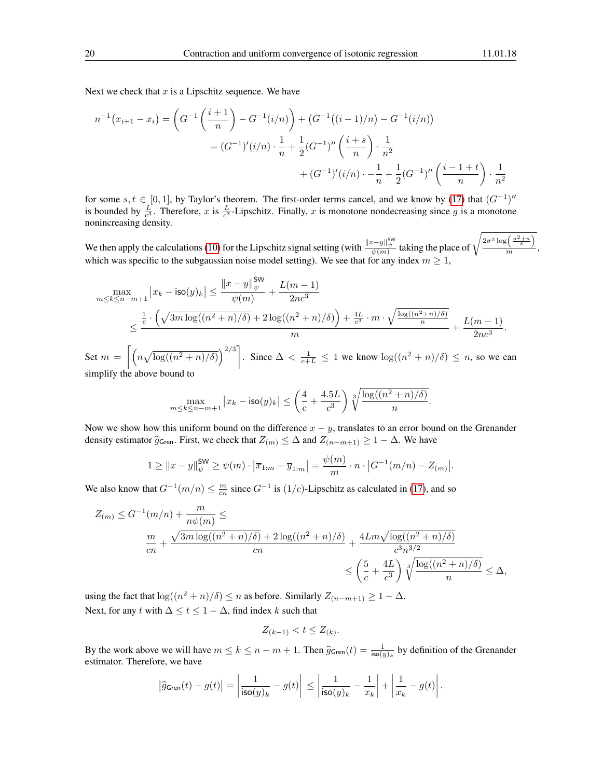Next we check that  $x$  is a Lipschitz sequence. We have

$$
n^{-1}(x_{i+1} - x_i) = \left(G^{-1}\left(\frac{i+1}{n}\right) - G^{-1}(i/n)\right) + \left(G^{-1}((i-1)/n) - G^{-1}(i/n)\right)
$$

$$
= (G^{-1})'(i/n) \cdot \frac{1}{n} + \frac{1}{2}(G^{-1})''\left(\frac{i+s}{n}\right) \cdot \frac{1}{n^2}
$$

$$
+ (G^{-1})'(i/n) \cdot -\frac{1}{n} + \frac{1}{2}(G^{-1})''\left(\frac{i-1+t}{n}\right) \cdot \frac{1}{n^2}
$$

for some  $s, t \in [0, 1]$ , by Taylor's theorem. The first-order terms cancel, and we know by [\(17\)](#page-18-3) that  $(G^{-1})''$ is bounded by  $\frac{L}{c^3}$ . Therefore, x is  $\frac{L}{c^3}$ -Lipschitz. Finally, x is monotone nondecreasing since g is a monotone nonincreasing density.

We then apply the calculations [\(10\)](#page-7-2) for the Lipschitz signal setting (with  $\frac{\|x-y\|_\psi^{5W}}{\psi(m)}$  taking the place of  $\sqrt{\frac{2\sigma^2 \log\left(\frac{n^2+n}{\delta}\right)}{m}}$  $\frac{m}{m}$ , which was specific to the subgaussian noise model setting). We see that for any index  $m \geq 1$ ,

$$
\begin{split} \max_{m \leq k \leq n-m+1} \big|x_k - \mathrm{iso}(y)_k\big| &\leq \frac{\|x-y\|_\psi^{\mathsf{SW}}}{\psi(m)} + \frac{L(m-1)}{2nc^3} \\ &\leq \frac{\frac{1}{c} \cdot \Big(\sqrt{3m \log((n^2+n)/\delta)} + 2 \log((n^2+n)/\delta)\Big) + \frac{4L}{c^3} \cdot m \cdot \sqrt{\frac{\log((n^2+n)/\delta)}{n}}}{m} + \frac{L(m-1)}{2nc^3} . \end{split}
$$

Set  $m = \left[\left(n\sqrt{\log((n^2+n)/\delta)}\right)^{2/3}\right]$ . Since  $\Delta < \frac{1}{c+L} \leq 1$  we know  $\log((n^2+n)/\delta) \leq n$ , so we can simplify the above bound to

$$
\max_{m \le k \le n-m+1} |x_k - \mathsf{iso}(y)_k| \le \left(\frac{4}{c} + \frac{4.5L}{c^3}\right) \sqrt[3]{\frac{\log((n^2+n)/\delta)}{n}}
$$

.

Now we show how this uniform bound on the difference  $x - y$ , translates to an error bound on the Grenander density estimator  $\hat{g}_{\mathsf{Gren}}$ . First, we check that  $Z_{(m)} \leq \Delta$  and  $Z_{(n-m+1)} \geq 1 - \Delta$ . We have

$$
1 \geq ||x - y||_{\psi}^{\mathsf{SW}} \geq \psi(m) \cdot |\overline{x}_{1:m} - \overline{y}_{1:m}| = \frac{\psi(m)}{m} \cdot n \cdot |G^{-1}(m/n) - Z_{(m)}|.
$$

We also know that  $G^{-1}(m/n) \leq \frac{m}{cn}$  since  $G^{-1}$  is  $(1/c)$ -Lipschitz as calculated in [\(17\)](#page-18-3), and so

$$
Z_{(m)} \leq G^{-1}(m/n) + \frac{m}{n\psi(m)} \leq
$$
  

$$
\frac{m}{cn} + \frac{\sqrt{3m\log((n^2+n)/\delta)} + 2\log((n^2+n)/\delta)}{cn} + \frac{4Lm\sqrt{\log((n^2+n)/\delta)}}{c^3n^{3/2}}
$$
  

$$
\leq \left(\frac{5}{c} + \frac{4L}{c^3}\right) \sqrt[3]{\frac{\log((n^2+n)/\delta)}{n}} \leq \Delta,
$$

using the fact that  $\log((n^2 + n)/\delta) \le n$  as before. Similarly  $Z_{(n-m+1)} \ge 1 - \Delta$ . Next, for any t with  $\Delta \leq t \leq 1 - \Delta$ , find index k such that

$$
Z_{(k-1)} < t \le Z_{(k)}.
$$

By the work above we will have  $m \le k \le n - m + 1$ . Then  $\hat{g}_{\text{Gren}}(t) = \frac{1}{\text{iso}(y)_k}$  by definition of the Grenander estimator. Therefore, we have

$$
\left|\widehat{g}_{\mathsf{Gren}}(t)-g(t)\right|=\left|\frac{1}{\mathsf{iso}(y)_k}-g(t)\right|\leq \left|\frac{1}{\mathsf{iso}(y)_k}-\frac{1}{x_k}\right|+\left|\frac{1}{x_k}-g(t)\right|.
$$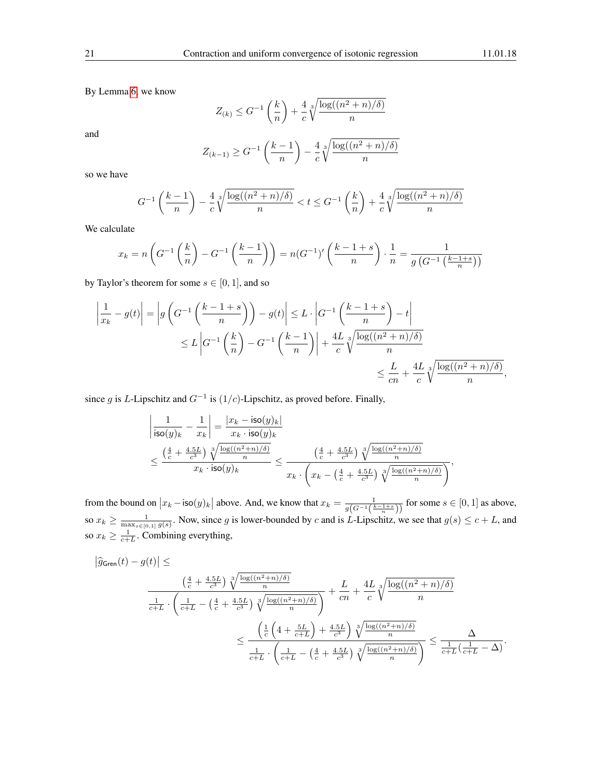By Lemma [6,](#page-18-4) we know

$$
Z_{(k)} \leq G^{-1}\left(\frac{k}{n}\right) + \frac{4}{c}\sqrt[3]{\frac{\log((n^2+n)/\delta)}{n}}
$$

and

$$
Z_{(k-1)} \ge G^{-1} \left( \frac{k-1}{n} \right) - \frac{4}{c} \sqrt[3]{\frac{\log((n^2+n)/\delta)}{n}}
$$

so we have

$$
G^{-1}\left(\frac{k-1}{n}\right) - \frac{4}{c}\sqrt[3]{\frac{\log((n^2+n)/\delta)}{n}} < t \le G^{-1}\left(\frac{k}{n}\right) + \frac{4}{c}\sqrt[3]{\frac{\log((n^2+n)/\delta)}{n}}
$$

We calculate

$$
x_k = n\left(G^{-1}\left(\frac{k}{n}\right) - G^{-1}\left(\frac{k-1}{n}\right)\right) = n(G^{-1})'\left(\frac{k-1+s}{n}\right) \cdot \frac{1}{n} = \frac{1}{g\left(G^{-1}\left(\frac{k-1+s}{n}\right)\right)}
$$

by Taylor's theorem for some  $s \in [0, 1]$ , and so

$$
\left| \frac{1}{x_k} - g(t) \right| = \left| g \left( G^{-1} \left( \frac{k-1+s}{n} \right) \right) - g(t) \right| \le L \cdot \left| G^{-1} \left( \frac{k-1+s}{n} \right) - t \right|
$$
  

$$
\le L \left| G^{-1} \left( \frac{k}{n} \right) - G^{-1} \left( \frac{k-1}{n} \right) \right| + \frac{4L}{c} \sqrt[3]{\frac{\log((n^2+n)/\delta)}{n}}
$$
  

$$
\le \frac{L}{cn} + \frac{4L}{c} \sqrt[3]{\frac{\log((n^2+n)/\delta)}{n}},
$$

since g is L-Lipschitz and  $G^{-1}$  is  $(1/c)$ -Lipschitz, as proved before. Finally,

$$
\begin{aligned} &\left|\frac{1}{\mathsf{iso}(y)_k}-\frac{1}{x_k}\right|=\frac{|x_k-\mathsf{iso}(y)_k|}{x_k\cdot \mathsf{iso}(y)_k} \\ &\leq \frac{\left(\frac{4}{c}+\frac{4.5L}{c^3}\right)\sqrt[3]{\frac{\log((n^2+n)/\delta)}{n}}}{x_k\cdot \mathsf{iso}(y)_k} \leq \frac{\left(\frac{4}{c}+\frac{4.5L}{c^3}\right)\sqrt[3]{\frac{\log((n^2+n)/\delta)}{n}}}{x_k\cdot \left(x_k-\left(\frac{4}{c}+\frac{4.5L}{c^3}\right)\sqrt[3]{\frac{\log((n^2+n)/\delta)}{n}}\right)}, \end{aligned}
$$

from the bound on  $|x_k - \text{iso}(y)_k|$  above. And, we know that  $x_k = \frac{1}{g(G^{-1}(\frac{k-1+s}{n}))}$  for some  $s \in [0,1]$  as above, so  $x_k \ge \frac{1}{\max_{s \in [0,1]} g(s)}$ . Now, since g is lower-bounded by c and is L-Lipschitz, we see that  $g(s) \le c + L$ , and so  $x_k \geq \frac{1}{c+L}$ . Combining everything,

$$
\left| \hat{g}_{\text{Gren}}(t) - g(t) \right| \le
$$
\n
$$
\frac{\left( \frac{4}{c} + \frac{4.5L}{c^3} \right) \sqrt[3]{\frac{\log((n^2+n)/\delta)}{n}}}{\frac{1}{c+L} \cdot \left( \frac{1}{c+L} - \left( \frac{4}{c} + \frac{4.5L}{c^3} \right) \sqrt[3]{\frac{\log((n^2+n)/\delta)}{n}} \right)} + \frac{L}{cn} + \frac{4L}{c} \sqrt[3]{\frac{\log((n^2+n)/\delta)}{n}}
$$
\n
$$
\leq \frac{\left( \frac{1}{c} \left( 4 + \frac{5L}{c+L} \right) + \frac{4.5L}{c^3} \right) \sqrt[3]{\frac{\log((n^2+n)/\delta)}{n}}}{\frac{1}{c+L} \cdot \left( \frac{1}{c+L} - \left( \frac{4}{c} + \frac{4.5L}{c^3} \right) \sqrt[3]{\frac{\log((n^2+n)/\delta)}{n}} \right)} \leq \frac{\Delta}{\frac{1}{c+L} \left( \frac{1}{c+L} - \Delta \right)}.
$$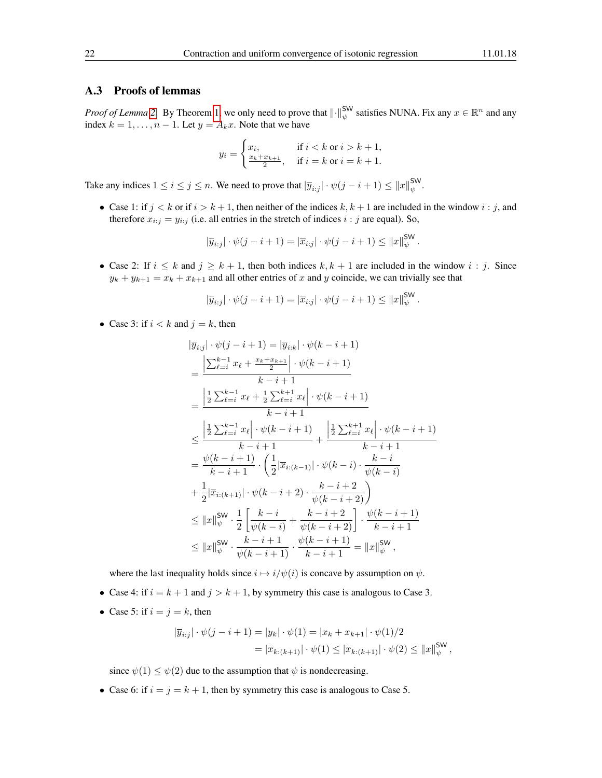#### <span id="page-21-0"></span>A.3 Proofs of lemmas

*Proof of Lemma* [2.](#page-3-3) By Theorem [1,](#page-3-0) we only need to prove that  $\|\cdot\|_{\psi}^{\text{SW}}$  satisfies NUNA. Fix any  $x \in \mathbb{R}^n$  and any index  $k = 1, \ldots, n - 1$ . Let  $y = A_k x$ . Note that we have

$$
y_i = \begin{cases} x_i, & \text{if } i < k \text{ or } i > k+1, \\ \frac{x_k + x_{k+1}}{2}, & \text{if } i = k \text{ or } i = k+1. \end{cases}
$$

Take any indices  $1 \le i \le j \le n$ . We need to prove that  $|\overline{y}_{i:j}| \cdot \psi(j-i+1) \le ||x||_{\psi}^{\text{SW}}$ .

• Case 1: if  $j < k$  or if  $i > k + 1$ , then neither of the indices  $k, k + 1$  are included in the window  $i : j$ , and therefore  $x_{i:j} = y_{i:j}$  (i.e. all entries in the stretch of indices  $i : j$  are equal). So,

$$
|\overline{y}_{i:j}| \cdot \psi(j-i+1) = |\overline{x}_{i:j}| \cdot \psi(j-i+1) \le ||x||_{\psi}^{\mathsf{SW}}.
$$

• Case 2: If  $i \leq k$  and  $j \geq k+1$ , then both indices  $k, k+1$  are included in the window  $i : j$ . Since  $y_k + y_{k+1} = x_k + x_{k+1}$  and all other entries of x and y coincide, we can trivially see that

$$
|\overline{y}_{i:j}| \cdot \psi(j-i+1) = |\overline{x}_{i:j}| \cdot \psi(j-i+1) \leq ||x||_{\psi}^{\mathsf{SW}}.
$$

• Case 3: if  $i < k$  and  $j = k$ , then

$$
\begin{split}\n|\overline{y}_{i:j}| \cdot \psi(j-i+1) &= |\overline{y}_{i:k}| \cdot \psi(k-i+1) \\
&= \frac{\left|\sum_{\ell=i}^{k-1} x_{\ell} + \frac{x_{k}+x_{k+1}}{2}\right| \cdot \psi(k-i+1)}{k-i+1} \\
&= \frac{\left|\frac{1}{2}\sum_{\ell=i}^{k-1} x_{\ell} + \frac{1}{2}\sum_{\ell=i}^{k+1} x_{\ell}\right| \cdot \psi(k-i+1)}{k-i+1} \\
&\leq \frac{\left|\frac{1}{2}\sum_{\ell=i}^{k-1} x_{\ell}\right| \cdot \psi(k-i+1)}{k-i+1} + \frac{\left|\frac{1}{2}\sum_{\ell=i}^{k+1} x_{\ell}\right| \cdot \psi(k-i+1)}{k-i+1} \\
&= \frac{\psi(k-i+1)}{k-i+1} \cdot \left(\frac{1}{2}|\overline{x}_{i:(k-1)}|\cdot \psi(k-i) \cdot \frac{k-i}{\psi(k-i)}\right) \\
&\quad + \frac{1}{2}|\overline{x}_{i:(k+1)}|\cdot \psi(k-i+2) \cdot \frac{k-i+2}{\psi(k-i+2)}\right) \\
&\leq ||x||_{\psi}^{\mathsf{SW}} \cdot \frac{1}{2} \left[\frac{k-i}{\psi(k-i)} + \frac{k-i+2}{\psi(k-i+2)}\right] \cdot \frac{\psi(k-i+1)}{k-i+1} \\
&\leq ||x||_{\psi}^{\mathsf{SW}} \cdot \frac{k-i+1}{\psi(k-i+1)} \cdot \frac{\psi(k-i+1)}{k-i+1} = ||x||_{\psi}^{\mathsf{SW}}\n\end{split}
$$

where the last inequality holds since  $i \mapsto i/\psi(i)$  is concave by assumption on  $\psi$ .

- Case 4: if  $i = k + 1$  and  $j > k + 1$ , by symmetry this case is analogous to Case 3.
- Case 5: if  $i = j = k$ , then

$$
|\overline{y}_{i:j}| \cdot \psi(j-i+1) = |y_k| \cdot \psi(1) = |x_k + x_{k+1}| \cdot \psi(1)/2
$$
  
=  $|\overline{x}_{k:(k+1)}| \cdot \psi(1) \le |\overline{x}_{k:(k+1)}| \cdot \psi(2) \le ||x||_{\psi}^{\text{SW}},$ 

since  $\psi(1) \leq \psi(2)$  due to the assumption that  $\psi$  is nondecreasing.

• Case 6: if  $i = j = k + 1$ , then by symmetry this case is analogous to Case 5.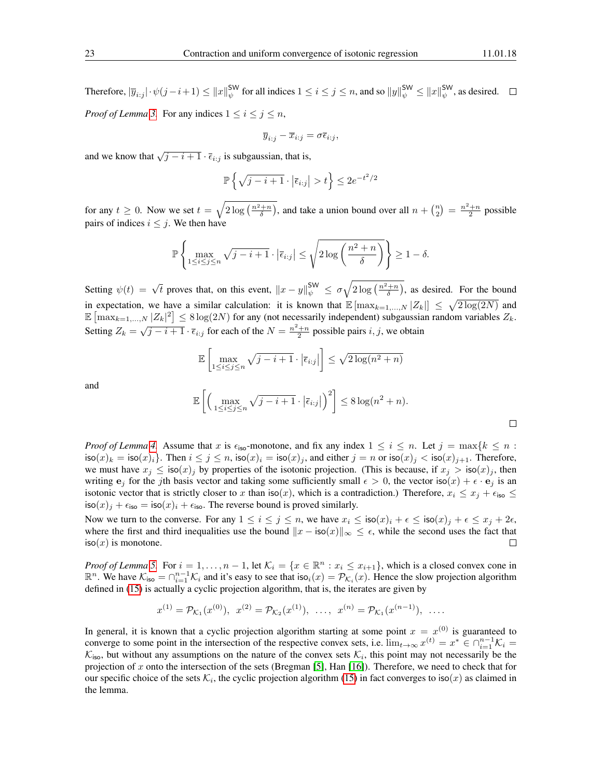Therefore,  $|\overline{y}_{i:j}| \cdot \psi(j-i+1) \leq ||x||_{\psi}^{\mathsf{SW}}$  for all indices  $1 \leq i \leq j \leq n$ , and so  $||y||_{\psi}^{\mathsf{SW}} \leq ||x||_{\psi}^{\mathsf{SW}}$ , as desired. *Proof of Lemma* [3.](#page-4-5) For any indices  $1 \le i \le j \le n$ ,

$$
\overline{y}_{i:j} - \overline{x}_{i:j} = \sigma \overline{\epsilon}_{i:j},
$$

and we know that  $\sqrt{j-i+1} \cdot \overline{\epsilon}_{i:j}$  is subgaussian, that is,

$$
\mathbb{P}\left\{\sqrt{j-i+1}\cdot\left|\overline{\epsilon}_{i:j}\right|>t\right\}\leq 2e^{-t^2/2}
$$

for any  $t \ge 0$ . Now we set  $t = \sqrt{2 \log\left(\frac{n^2+n}{\delta}\right)}$ , and take a union bound over all  $n + \binom{n}{2} = \frac{n^2+n}{2}$  possible pairs of indices  $i \leq j$ . We then have

$$
\mathbb{P}\left\{\max_{1\leq i\leq j\leq n}\sqrt{j-i+1}\cdot\left|\overline{\epsilon}_{i:j}\right|\leq\sqrt{2\log\left(\frac{n^2+n}{\delta}\right)}\right\}\geq1-\delta.
$$

Setting  $\psi(t) = \sqrt{t}$  proves that, on this event,  $||x - y||_{\psi}^{\text{SW}} \le \sigma \sqrt{2 \log\left(\frac{n^2 + n}{\delta}\right)}$ , as desired. For the bound in expectation, we have a similar calculation: it is known that  $\mathbb{E} [\max_{k=1,...,N} |Z_k|] \leq \sqrt{2 \log(2N)}$  and  $\mathbb{E} \left[ \max_{k=1,\dots,N} |Z_k|^2 \right] \leq 8 \log(2N)$  for any (not necessarily independent) subgaussian random variables  $Z_k$ . Setting  $Z_k = \sqrt{j - i + 1} \cdot \overline{\epsilon}_{i:j}$  for each of the  $N = \frac{n^2 + n}{2}$  possible pairs  $i, j$ , we obtain

$$
\mathbb{E}\left[\max_{1\leq i\leq j\leq n}\sqrt{j-i+1}\cdot\left|\overline{\epsilon}_{i:j}\right|\right]\leq\sqrt{2\log(n^2+n)}
$$

and

$$
\mathbb{E}\left[\left(\max_{1\leq i\leq j\leq n}\sqrt{j-i+1}\cdot\left|\overline{\epsilon}_{i:j}\right|\right)^{2}\right]\leq 8\log(n^{2}+n).
$$

*Proof of Lemma [4.](#page-5-2)* Assume that x is  $\epsilon_{iso}$ -monotone, and fix any index  $1 \le i \le n$ . Let  $j = \max\{k \le n :$  $\text{iso}(x)_k = \text{iso}(x)_i$ . Then  $i \le j \le n$ ,  $\text{iso}(x)_i = \text{iso}(x)_j$ , and either  $j = n$  or  $\text{iso}(x)_j < \text{iso}(x)_{j+1}$ . Therefore, we must have  $x_j \leq \text{iso}(x)_j$  by properties of the isotonic projection. (This is because, if  $x_j > \text{iso}(x)_j$ , then writing  $e_i$  for the jth basis vector and taking some sufficiently small  $\epsilon > 0$ , the vector iso $(x) + \epsilon \cdot e_j$  is an isotonic vector that is strictly closer to x than  $\text{iso}(x)$ , which is a contradiction.) Therefore,  $x_i \leq x_j + \epsilon_{\text{iso}} \leq$  $\cos(x)_i + \epsilon_{\text{iso}} = \sin(x)_i + \epsilon_{\text{iso}}$ . The reverse bound is proved similarly.

Now we turn to the converse. For any  $1 \le i \le j \le n$ , we have  $x_i \le \text{iso}(x)_i + \epsilon \le \text{iso}(x)_j + \epsilon \le x_j + 2\epsilon$ , where the first and third inequalities use the bound  $||x - \text{iso}(x)||_{\infty} \leq \epsilon$ , while the second uses the fact that  $iso(x)$  is monotone.  $\Box$ 

*Proof of Lemma* [5.](#page-12-1) For  $i = 1, ..., n - 1$ , let  $\mathcal{K}_i = \{x \in \mathbb{R}^n : x_i \leq x_{i+1}\}$ , which is a closed convex cone in  $\mathbb{R}^n$ . We have  $\mathcal{K}_{\text{iso}} = \bigcap_{i=1}^{n-1} \mathcal{K}_i$  and it's easy to see that  $\text{iso}_i(x) = \mathcal{P}_{\mathcal{K}_i}(x)$ . Hence the slow projection algorithm defined in [\(15\)](#page-12-3) is actually a cyclic projection algorithm, that is, the iterates are given by

$$
x^{(1)} = \mathcal{P}_{\mathcal{K}_1}(x^{(0)}), \quad x^{(2)} = \mathcal{P}_{\mathcal{K}_2}(x^{(1)}), \quad \dots, \quad x^{(n)} = \mathcal{P}_{\mathcal{K}_1}(x^{(n-1)}), \quad \dots
$$

In general, it is known that a cyclic projection algorithm starting at some point  $x = x^{(0)}$  is guaranteed to converge to some point in the intersection of the respective convex sets, i.e.  $\lim_{t\to\infty} x^{(t)} = x^* \in \bigcap_{i=1}^{n-1} \mathcal{K}_i$  $K_{\text{iso}}$ , but without any assumptions on the nature of the convex sets  $K_i$ , this point may not necessarily be the projection of x onto the intersection of the sets (Bregman [\[5\]](#page-14-4), Han [\[16\]](#page-15-20)). Therefore, we need to check that for our specific choice of the sets  $\mathcal{K}_i$ , the cyclic projection algorithm [\(15\)](#page-12-3) in fact converges to iso(x) as claimed in the lemma.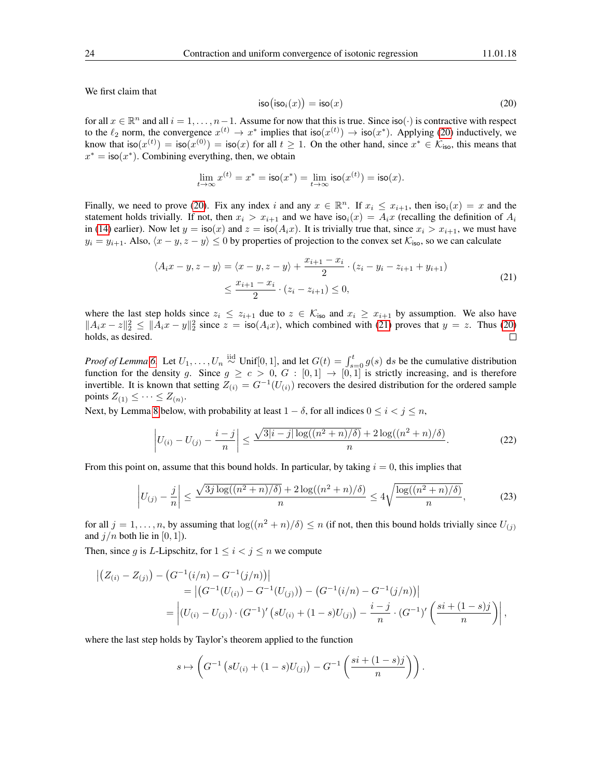We first claim that

<span id="page-23-0"></span>
$$
\text{iso}(\text{iso}_i(x)) = \text{iso}(x) \tag{20}
$$

for all  $x \in \mathbb{R}^n$  and all  $i = 1, \ldots, n-1$ . Assume for now that this is true. Since iso( $\cdot$ ) is contractive with respect to the  $\ell_2$  norm, the convergence  $x^{(t)} \to x^*$  implies that iso $(x^{(t)}) \to$  iso $(x^*)$ . Applying [\(20\)](#page-23-0) inductively, we know that  $\textsf{iso}(x^{(t)}) = \textsf{iso}(x^{(0)}) = \textsf{iso}(x)$  for all  $t \geq 1$ . On the other hand, since  $x^* \in \mathcal{K}_{\textsf{iso}}$ , this means that  $x^* = \textsf{iso}(x^*)$ . Combining everything, then, we obtain

$$
\lim_{t \to \infty} x^{(t)} = x^* = \mathsf{iso}(x^*) = \lim_{t \to \infty} \mathsf{iso}(x^{(t)}) = \mathsf{iso}(x).
$$

Finally, we need to prove [\(20\)](#page-23-0). Fix any index i and any  $x \in \mathbb{R}^n$ . If  $x_i \leq x_{i+1}$ , then  $\text{iso}_i(x) = x$  and the statement holds trivially. If not, then  $x_i > x_{i+1}$  and we have  $\text{iso}_i(x) = A_i x$  (recalling the definition of  $A_i$ in [\(14\)](#page-12-4) earlier). Now let  $y = \text{iso}(x)$  and  $z = \text{iso}(A_i x)$ . It is trivially true that, since  $x_i > x_{i+1}$ , we must have  $y_i = y_{i+1}$ . Also,  $\langle x - y, z - y \rangle \le 0$  by properties of projection to the convex set  $\mathcal{K}_{\text{iso}}$ , so we can calculate

$$
\langle A_i x - y, z - y \rangle = \langle x - y, z - y \rangle + \frac{x_{i+1} - x_i}{2} \cdot (z_i - y_i - z_{i+1} + y_{i+1})
$$
  
 
$$
\leq \frac{x_{i+1} - x_i}{2} \cdot (z_i - z_{i+1}) \leq 0,
$$
 (21)

<span id="page-23-1"></span>where the last step holds since  $z_i \le z_{i+1}$  due to  $z \in \mathcal{K}_{\text{iso}}$  and  $x_i \ge x_{i+1}$  by assumption. We also have  $||A_i x - z||_2^2 \le ||A_i x - y||_2^2$  since  $z = \text{iso}(A_i x)$ , which combined with [\(21\)](#page-23-1) proves that  $y = z$ . Thus [\(20\)](#page-23-0) holds, as desired.  $\Box$ 

*Proof of Lemma* [6.](#page-18-4) Let  $U_1, \ldots, U_n \stackrel{\text{iid}}{\sim} \text{Unif}[0,1]$ , and let  $G(t) = \int_{s=0}^t g(s)$  ds be the cumulative distribution function for the density g. Since  $g \ge c > 0$ ,  $G : [0,1] \to [0,1]$  is strictly increasing, and is therefore invertible. It is known that setting  $Z_{(i)} = G^{-1}(U_{(i)})$  recovers the desired distribution for the ordered sample points  $Z_{(1)} \leq \cdots \leq Z_{(n)}$ .

Next, by Lemma [8](#page-25-0) below, with probability at least  $1 - \delta$ , for all indices  $0 \le i \le j \le n$ ,

<span id="page-23-2"></span>
$$
\left| U_{(i)} - U_{(j)} - \frac{i - j}{n} \right| \le \frac{\sqrt{3|i - j| \log((n^2 + n)/\delta)} + 2 \log((n^2 + n)/\delta)}{n}.
$$
 (22)

From this point on, assume that this bound holds. In particular, by taking  $i = 0$ , this implies that

<span id="page-23-3"></span>
$$
\left|U_{(j)} - \frac{j}{n}\right| \le \frac{\sqrt{3j\log((n^2+n)/\delta)} + 2\log((n^2+n)/\delta)}{n} \le 4\sqrt{\frac{\log((n^2+n)/\delta)}{n}},\tag{23}
$$

for all  $j = 1, \ldots, n$ , by assuming that  $\log((n^2 + n)/\delta) \le n$  (if not, then this bound holds trivially since  $U_{(j)}$ ) and  $j/n$  both lie in [0, 1]).

Then, since g is L-Lipschitz, for  $1 \le i < j \le n$  we compute

$$
\begin{aligned} \left| \left( Z_{(i)} - Z_{(j)} \right) - \left( G^{-1}(i/n) - G^{-1}(j/n) \right) \right| \\ &= \left| \left( G^{-1}(U_{(i)}) - G^{-1}(U_{(j)}) \right) - \left( G^{-1}(i/n) - G^{-1}(j/n) \right) \right| \\ &= \left| \left( U_{(i)} - U_{(j)} \right) \cdot \left( G^{-1} \right)' \left( sU_{(i)} + (1-s)U_{(j)} \right) - \frac{i-j}{n} \cdot \left( G^{-1} \right)' \left( \frac{s i + (1-s)j}{n} \right) \right|, \end{aligned}
$$

where the last step holds by Taylor's theorem applied to the function

$$
s \mapsto \left( G^{-1} \left( s U_{(i)} + (1 - s) U_{(j)} \right) - G^{-1} \left( \frac{s i + (1 - s) j}{n} \right) \right).
$$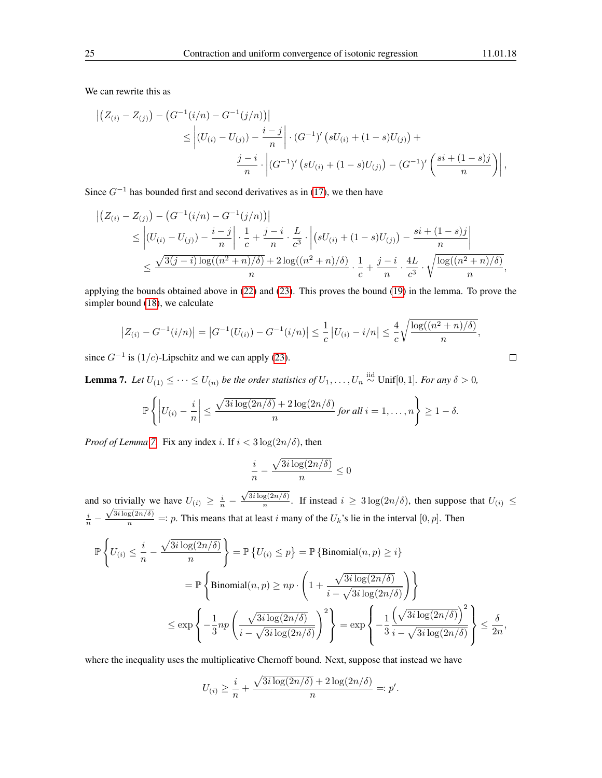We can rewrite this as

$$
\left| \left( Z_{(i)} - Z_{(j)} \right) - \left( G^{-1}(i/n) - G^{-1}(j/n) \right) \right| \right|
$$
  
\n
$$
\leq \left| \left( U_{(i)} - U_{(j)} \right) - \frac{i - j}{n} \right| \cdot \left( G^{-1} \right)' \left( s U_{(i)} + (1 - s) U_{(j)} \right) +
$$
  
\n
$$
\frac{j - i}{n} \cdot \left| \left( G^{-1} \right)' \left( s U_{(i)} + (1 - s) U_{(j)} \right) - \left( G^{-1} \right)' \left( \frac{s i + (1 - s) j}{n} \right) \right|,
$$

Since  $G^{-1}$  has bounded first and second derivatives as in [\(17\)](#page-18-3), we then have

$$
\begin{split} \left| \left( Z_{(i)} - Z_{(j)} \right) - \left( G^{-1}(i/n) - G^{-1}(j/n) \right) \right| \\ &\leq \left| \left( U_{(i)} - U_{(j)} \right) - \frac{i - j}{n} \right| \cdot \frac{1}{c} + \frac{j - i}{n} \cdot \frac{L}{c^3} \cdot \left| \left( sU_{(i)} + (1 - s)U_{(j)} \right) - \frac{si + (1 - s)j}{n} \right| \\ &\leq \frac{\sqrt{3(j - i) \log((n^2 + n)/\delta)} + 2 \log((n^2 + n)/\delta)}{n} \cdot \frac{1}{c} + \frac{j - i}{n} \cdot \frac{4L}{c^3} \cdot \sqrt{\frac{\log((n^2 + n)/\delta)}{n}}, \end{split}
$$

applying the bounds obtained above in [\(22\)](#page-23-2) and [\(23\)](#page-23-3). This proves the bound [\(19\)](#page-18-2) in the lemma. To prove the simpler bound [\(18\)](#page-18-1), we calculate

$$
|Z_{(i)} - G^{-1}(i/n)| = |G^{-1}(U_{(i)}) - G^{-1}(i/n)| \le \frac{1}{c} |U_{(i)} - i/n| \le \frac{4}{c} \sqrt{\frac{\log((n^2 + n)/\delta)}{n}},
$$

since  $G^{-1}$  is  $(1/c)$ -Lipschitz and we can apply [\(23\)](#page-23-3).

<span id="page-24-0"></span>**Lemma 7.** Let  $U_{(1)}$  ≤ · · ⋅ ≤  $U_{(n)}$  be the order statistics of  $U_1, \ldots, U_n \stackrel{\text{iid}}{\sim}$  Unif[0, 1]. For any  $\delta > 0$ ,

$$
\mathbb{P}\left\{\left|U_{(i)}-\frac{i}{n}\right|\leq \frac{\sqrt{3i\log(2n/\delta)}+2\log(2n/\delta)}{n}\text{ for all }i=1,\ldots,n\right\}\geq 1-\delta.
$$

*Proof of Lemma* [7.](#page-24-0) Fix any index i. If  $i < 3 \log(2n/\delta)$ , then

$$
\frac{i}{n} - \frac{\sqrt{3i\log(2n/\delta)}}{n} \le 0
$$

and so trivially we have  $U_{(i)} \geq \frac{i}{n}$  –  $\sqrt{3i\log(2n/\delta)}$  $\frac{\log(2n/\delta)}{n}$ . If instead  $i \geq 3 \log(2n/\delta)$ , then suppose that  $U_{(i)} \leq$  $\frac{i}{n}$  –  $\frac{\sqrt{3i \log(2n/\delta)}}{n}$  =: p. This means that at least i many of the  $U_k$ 's lie in the interval  $[0, p]$ . Then

$$
\mathbb{P}\left\{U_{(i)} \leq \frac{i}{n} - \frac{\sqrt{3i\log(2n/\delta)}}{n}\right\} = \mathbb{P}\left\{U_{(i)} \leq p\right\} = \mathbb{P}\left\{\text{Binomial}(n, p) \geq i\right\}
$$

$$
= \mathbb{P}\left\{\text{Binomial}(n, p) \geq np \cdot \left(1 + \frac{\sqrt{3i\log(2n/\delta)}}{i - \sqrt{3i\log(2n/\delta)}}\right)\right\}
$$

$$
\leq \exp\left\{-\frac{1}{3}np\left(\frac{\sqrt{3i\log(2n/\delta)}}{i - \sqrt{3i\log(2n/\delta)}}\right)^2\right\} = \exp\left\{-\frac{1}{3}\frac{\left(\sqrt{3i\log(2n/\delta)}\right)^2}{i - \sqrt{3i\log(2n/\delta)}}\right\} \leq \frac{\delta}{2n},
$$

where the inequality uses the multiplicative Chernoff bound. Next, suppose that instead we have

$$
U_{(i)} \ge \frac{i}{n} + \frac{\sqrt{3i \log(2n/\delta)} + 2 \log(2n/\delta)}{n} =: p'.
$$

$$
\qquad \qquad \Box
$$